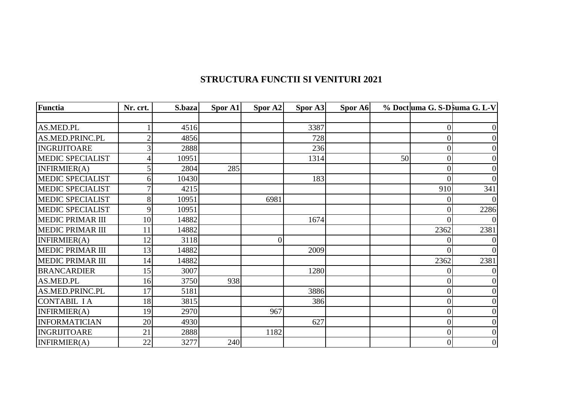## **STRUCTURA FUNCTII SI VENITURI 2021**

| <b>Functia</b>          | Nr. crt. | S.baza | Spor A1 | Spor A2 | Spor A3 | Spor A6 |    |                | % Doct uma G. S-D suma G. L-V |
|-------------------------|----------|--------|---------|---------|---------|---------|----|----------------|-------------------------------|
|                         |          |        |         |         |         |         |    |                |                               |
| AS.MED.PL               |          | 4516   |         |         | 3387    |         |    |                | 0                             |
| AS.MED.PRINC.PL         |          | 4856   |         |         | 728     |         |    | 0              | 0                             |
| <b>INGRIJITOARE</b>     |          | 2888   |         |         | 236     |         |    | $\overline{0}$ | $\overline{0}$                |
| <b>MEDIC SPECIALIST</b> |          | 10951  |         |         | 1314    |         | 50 | $\overline{0}$ | 0                             |
| INFIRMIER(A)            |          | 2804   | 285     |         |         |         |    | $\theta$       | 0                             |
| <b>MEDIC SPECIALIST</b> | 6        | 10430  |         |         | 183     |         |    | $\Omega$       | $\Omega$                      |
| <b>MEDIC SPECIALIST</b> |          | 4215   |         |         |         |         |    | 910            | 341                           |
| <b>MEDIC SPECIALIST</b> | 8        | 10951  |         | 6981    |         |         |    | $\Omega$       |                               |
| <b>MEDIC SPECIALIST</b> | 9        | 10951  |         |         |         |         |    | 0              | 2286                          |
| <b>MEDIC PRIMAR III</b> | 10       | 14882  |         |         | 1674    |         |    |                |                               |
| <b>MEDIC PRIMAR III</b> | 11       | 14882  |         |         |         |         |    | 2362           | 2381                          |
| INFIRMIER(A)            | 12       | 3118   |         | 0       |         |         |    |                |                               |
| <b>MEDIC PRIMAR III</b> | 13       | 14882  |         |         | 2009    |         |    | 0              | $\Omega$                      |
| <b>MEDIC PRIMAR III</b> | 14       | 14882  |         |         |         |         |    | 2362           | 2381                          |
| <b>BRANCARDIER</b>      | 15       | 3007   |         |         | 1280    |         |    |                |                               |
| AS.MED.PL               | 16       | 3750   | 938     |         |         |         |    | $\theta$       | 0                             |
| AS.MED.PRINC.PL         | 17       | 5181   |         |         | 3886    |         |    | $\Omega$       |                               |
| <b>CONTABIL IA</b>      | 18       | 3815   |         |         | 386     |         |    | $\overline{0}$ | 0                             |
| <b>INFIRMIER(A)</b>     | 19       | 2970   |         | 967     |         |         |    | $\Omega$       | 0                             |
| <b>INFORMATICIAN</b>    | 20       | 4930   |         |         | 627     |         |    | 0              |                               |
| <b>INGRIJITOARE</b>     | 21       | 2888   |         | 1182    |         |         |    |                | 0                             |
| INFIRMIER(A)            | 22       | 3277   | 240     |         |         |         |    | $\Omega$       | $\overline{0}$                |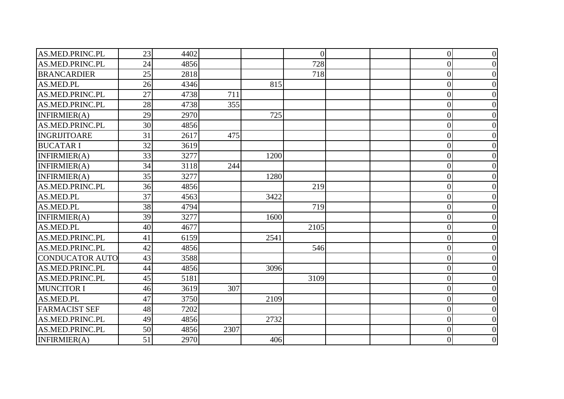| AS.MED.PRINC.PL      | 23 | 4402 |      |      | $\overline{0}$ |  | $\overline{0}$   | 0 |
|----------------------|----|------|------|------|----------------|--|------------------|---|
| AS.MED.PRINC.PL      | 24 | 4856 |      |      | 728            |  | $\overline{0}$   |   |
| <b>BRANCARDIER</b>   | 25 | 2818 |      |      | 718            |  | $\overline{0}$   |   |
| AS.MED.PL            | 26 | 4346 |      | 815  |                |  | $\overline{0}$   |   |
| AS.MED.PRINC.PL      | 27 | 4738 | 711  |      |                |  | $\overline{0}$   |   |
| AS.MED.PRINC.PL      | 28 | 4738 | 355  |      |                |  | $\overline{0}$   |   |
| INFIRMIER(A)         | 29 | 2970 |      | 725  |                |  | $\overline{0}$   |   |
| AS.MED.PRINC.PL      | 30 | 4856 |      |      |                |  | $\overline{0}$   |   |
| <b>INGRIJITOARE</b>  | 31 | 2617 | 475  |      |                |  | $\overline{0}$   |   |
| <b>BUCATARI</b>      | 32 | 3619 |      |      |                |  | $\overline{0}$   |   |
| INFIRMIER(A)         | 33 | 3277 |      | 1200 |                |  | $\theta$         |   |
| INFIRMIER(A)         | 34 | 3118 | 244  |      |                |  | $\overline{0}$   |   |
| INFIRMIER(A)         | 35 | 3277 |      | 1280 |                |  | $\overline{0}$   |   |
| AS.MED.PRINC.PL      | 36 | 4856 |      |      | 219            |  | $\overline{0}$   |   |
| AS.MED.PL            | 37 | 4563 |      | 3422 |                |  | $\overline{0}$   |   |
| AS.MED.PL            | 38 | 4794 |      |      | 719            |  | $\overline{0}$   |   |
| INFIRMIER(A)         | 39 | 3277 |      | 1600 |                |  | $\overline{0}$   |   |
| AS.MED.PL            | 40 | 4677 |      |      | 2105           |  | $\overline{0}$   |   |
| AS.MED.PRINC.PL      | 41 | 6159 |      | 2541 |                |  | $\overline{0}$   |   |
| AS.MED.PRINC.PL      | 42 | 4856 |      |      | 546            |  | $\overline{0}$   |   |
| CONDUCATOR AUTO      | 43 | 3588 |      |      |                |  | $\overline{0}$   |   |
| AS.MED.PRINC.PL      | 44 | 4856 |      | 3096 |                |  | $\overline{0}$   |   |
| AS.MED.PRINC.PL      | 45 | 5181 |      |      | 3109           |  | $\boldsymbol{0}$ |   |
| <b>MUNCITOR I</b>    | 46 | 3619 | 307  |      |                |  | $\overline{0}$   |   |
| AS.MED.PL            | 47 | 3750 |      | 2109 |                |  | $\overline{0}$   |   |
| <b>FARMACIST SEF</b> | 48 | 7202 |      |      |                |  | $\overline{0}$   |   |
| AS.MED.PRINC.PL      | 49 | 4856 |      | 2732 |                |  | $\overline{0}$   |   |
| AS.MED.PRINC.PL      | 50 | 4856 | 2307 |      |                |  | $\overline{0}$   |   |
| INFIRMIER(A)         | 51 | 2970 |      | 406  |                |  | $\overline{0}$   |   |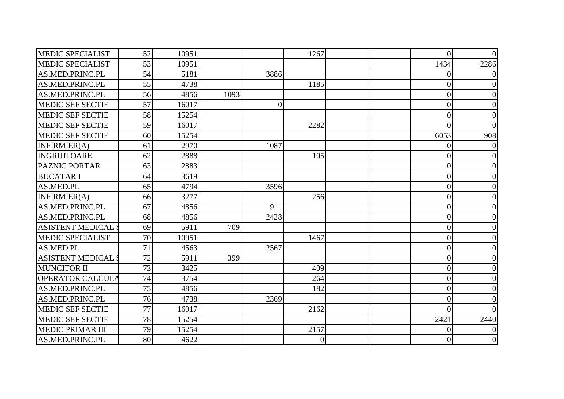| <b>MEDIC SPECIALIST</b>  | 52 | 10951 |      |                 | 1267           |  | $\overline{0}$ | $\Omega$         |
|--------------------------|----|-------|------|-----------------|----------------|--|----------------|------------------|
| <b>MEDIC SPECIALIST</b>  | 53 | 10951 |      |                 |                |  | 1434           | 2286             |
| AS.MED.PRINC.PL          | 54 | 5181  |      | 3886            |                |  | 0              |                  |
| AS.MED.PRINC.PL          | 55 | 4738  |      |                 | 1185           |  | $\theta$       |                  |
| AS.MED.PRINC.PL          | 56 | 4856  | 1093 |                 |                |  | $\overline{0}$ | 0                |
| <b>MEDIC SEF SECTIE</b>  | 57 | 16017 |      | $\vert 0 \vert$ |                |  | $\overline{0}$ |                  |
| <b>MEDIC SEF SECTIE</b>  | 58 | 15254 |      |                 |                |  | $\theta$       |                  |
| <b>MEDIC SEF SECTIE</b>  | 59 | 16017 |      |                 | 2282           |  | $\Omega$       |                  |
| <b>MEDIC SEF SECTIE</b>  | 60 | 15254 |      |                 |                |  | 6053           | 908              |
| INFIRMIER(A)             | 61 | 2970  |      | 1087            |                |  | 0              |                  |
| <b>INGRIJITOARE</b>      | 62 | 2888  |      |                 | 105            |  | $\overline{0}$ |                  |
| PAZNIC PORTAR            | 63 | 2883  |      |                 |                |  | 0              | 0                |
| <b>BUCATAR I</b>         | 64 | 3619  |      |                 |                |  | $\overline{0}$ |                  |
| AS.MED.PL                | 65 | 4794  |      | 3596            |                |  | $\overline{0}$ |                  |
| INFIRMIER(A)             | 66 | 3277  |      |                 | 256            |  | $\Omega$       |                  |
| AS.MED.PRINC.PL          | 67 | 4856  |      | 911             |                |  | $\overline{0}$ |                  |
| AS.MED.PRINC.PL          | 68 | 4856  |      | 2428            |                |  | $\theta$       |                  |
| <b>ASISTENT MEDICAL:</b> | 69 | 5911  | 709  |                 |                |  | $\theta$       |                  |
| <b>MEDIC SPECIALIST</b>  | 70 | 10951 |      |                 | 1467           |  | $\overline{0}$ | 0                |
| AS.MED.PL                | 71 | 4563  |      | 2567            |                |  | $\theta$       |                  |
| <b>ASISTENT MEDICAL</b>  | 72 | 5911  | 399  |                 |                |  | $\overline{0}$ |                  |
| <b>MUNCITOR II</b>       | 73 | 3425  |      |                 | 409            |  | $\overline{0}$ | 0                |
| <b>OPERATOR CALCULA</b>  | 74 | 3754  |      |                 | 264            |  | $\theta$       |                  |
| AS.MED.PRINC.PL          | 75 | 4856  |      |                 | 182            |  | $\theta$       |                  |
| AS.MED.PRINC.PL          | 76 | 4738  |      | 2369            |                |  | $\theta$       |                  |
| <b>MEDIC SEF SECTIE</b>  | 77 | 16017 |      |                 | 2162           |  | $\theta$       |                  |
| <b>MEDIC SEF SECTIE</b>  | 78 | 15254 |      |                 |                |  | 2421           | 2440             |
| <b>MEDIC PRIMAR III</b>  | 79 | 15254 |      |                 | 2157           |  | 0              |                  |
| AS.MED.PRINC.PL          | 80 | 4622  |      |                 | $\overline{0}$ |  | 0              | $\boldsymbol{0}$ |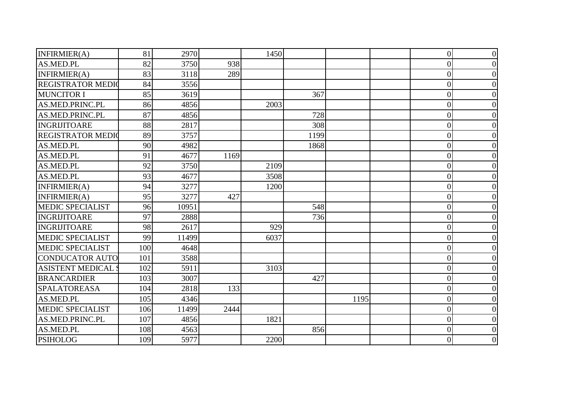| INFIRMIER(A)             | 81  | 2970  |      | 1450 |      |      | $\overline{0}$   | $\Omega$ |
|--------------------------|-----|-------|------|------|------|------|------------------|----------|
| AS.MED.PL                | 82  | 3750  | 938  |      |      |      | $\boldsymbol{0}$ |          |
| INFIRMIER(A)             | 83  | 3118  | 289  |      |      |      | $\overline{0}$   |          |
| <b>REGISTRATOR MEDIO</b> | 84  | 3556  |      |      |      |      | $\overline{0}$   |          |
| <b>MUNCITOR I</b>        | 85  | 3619  |      |      | 367  |      | $\overline{0}$   |          |
| AS.MED.PRINC.PL          | 86  | 4856  |      | 2003 |      |      | $\overline{0}$   |          |
| AS.MED.PRINC.PL          | 87  | 4856  |      |      | 728  |      | $\overline{0}$   |          |
| <b>INGRIJITOARE</b>      | 88  | 2817  |      |      | 308  |      | $\overline{0}$   |          |
| <b>REGISTRATOR MEDIO</b> | 89  | 3757  |      |      | 1199 |      | $\overline{0}$   |          |
| AS.MED.PL                | 90  | 4982  |      |      | 1868 |      | $\overline{0}$   |          |
| AS.MED.PL                | 91  | 4677  | 1169 |      |      |      | $\overline{0}$   |          |
| AS.MED.PL                | 92  | 3750  |      | 2109 |      |      | $\overline{0}$   |          |
| AS.MED.PL                | 93  | 4677  |      | 3508 |      |      | $\overline{0}$   |          |
| INFIRMIER(A)             | 94  | 3277  |      | 1200 |      |      | $\overline{0}$   |          |
| INFIRMIER(A)             | 95  | 3277  | 427  |      |      |      | 0                |          |
| <b>MEDIC SPECIALIST</b>  | 96  | 10951 |      |      | 548  |      | $\overline{0}$   |          |
| INGRIJITOARE             | 97  | 2888  |      |      | 736  |      | $\overline{0}$   |          |
| <b>INGRIJITOARE</b>      | 98  | 2617  |      | 929  |      |      | $\overline{0}$   |          |
| <b>MEDIC SPECIALIST</b>  | 99  | 11499 |      | 6037 |      |      | $\overline{0}$   |          |
| <b>MEDIC SPECIALIST</b>  | 100 | 4648  |      |      |      |      | $\overline{0}$   |          |
| <b>CONDUCATOR AUTO</b>   | 101 | 3588  |      |      |      |      | $\overline{0}$   |          |
| <b>ASISTENT MEDICAL:</b> | 102 | 5911  |      | 3103 |      |      | $\overline{0}$   |          |
| <b>BRANCARDIER</b>       | 103 | 3007  |      |      | 427  |      | $\overline{0}$   |          |
| <b>SPALATOREASA</b>      | 104 | 2818  | 133  |      |      |      | $\overline{0}$   |          |
| AS.MED.PL                | 105 | 4346  |      |      |      | 1195 | $\overline{0}$   |          |
| <b>MEDIC SPECIALIST</b>  | 106 | 11499 | 2444 |      |      |      | $\overline{0}$   |          |
| AS.MED.PRINC.PL          | 107 | 4856  |      | 1821 |      |      | $\overline{0}$   |          |
| AS.MED.PL                | 108 | 4563  |      |      | 856  |      | $\overline{0}$   |          |
| <b>PSIHOLOG</b>          | 109 | 5977  |      | 2200 |      |      | $\overline{0}$   |          |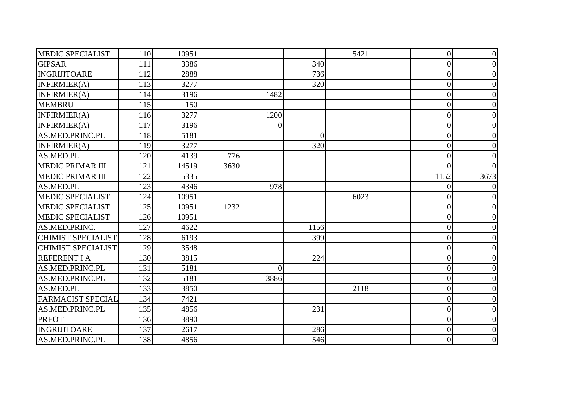| <b>MEDIC SPECIALIST</b>   | 110 | 10951 |      |                 |                | 5421 | $\overline{0}$ | $\theta$ |
|---------------------------|-----|-------|------|-----------------|----------------|------|----------------|----------|
| <b>GIPSAR</b>             | 111 | 3386  |      |                 | 340            |      | $\overline{0}$ | 0        |
| INGRIJITOARE              | 112 | 2888  |      |                 | 736            |      | $\overline{0}$ |          |
| INFIRMIER(A)              | 113 | 3277  |      |                 | 320            |      | $\overline{0}$ |          |
| INFIRMIER(A)              | 114 | 3196  |      | 1482            |                |      | $\overline{0}$ | 0        |
| <b>MEMBRU</b>             | 115 | 150   |      |                 |                |      | $\overline{0}$ |          |
| INFIRMIER(A)              | 116 | 3277  |      | 1200            |                |      | $\theta$       |          |
| INFIRMIER(A)              | 117 | 3196  |      | $\vert 0 \vert$ |                |      | $\overline{0}$ |          |
| AS.MED.PRINC.PL           | 118 | 5181  |      |                 | $\overline{0}$ |      | $\overline{0}$ |          |
| INFIRMIER(A)              | 119 | 3277  |      |                 | 320            |      | 0              |          |
| AS.MED.PL                 | 120 | 4139  | 776  |                 |                |      | $\overline{0}$ |          |
| <b>MEDIC PRIMAR III</b>   | 121 | 14519 | 3630 |                 |                |      | 0              |          |
| <b>MEDIC PRIMAR III</b>   | 122 | 5335  |      |                 |                |      | 1152           | 3673     |
| AS.MED.PL                 | 123 | 4346  |      | 978             |                |      | $\theta$       |          |
| <b>MEDIC SPECIALIST</b>   | 124 | 10951 |      |                 |                | 6023 | 0              |          |
| <b>MEDIC SPECIALIST</b>   | 125 | 10951 | 1232 |                 |                |      | $\overline{0}$ |          |
| <b>MEDIC SPECIALIST</b>   | 126 | 10951 |      |                 |                |      | $\overline{0}$ |          |
| AS.MED.PRINC.             | 127 | 4622  |      |                 | 1156           |      | $\theta$       |          |
| <b>CHIMIST SPECIALIST</b> | 128 | 6193  |      |                 | 399            |      | $\overline{0}$ | 0        |
| <b>CHIMIST SPECIALIST</b> | 129 | 3548  |      |                 |                |      | $\theta$       |          |
| <b>REFERENT I A</b>       | 130 | 3815  |      |                 | 224            |      | $\overline{0}$ |          |
| AS.MED.PRINC.PL           | 131 | 5181  |      | $\Omega$        |                |      | $\overline{0}$ | 0        |
| AS.MED.PRINC.PL           | 132 | 5181  |      | 3886            |                |      | $\overline{0}$ |          |
| AS.MED.PL                 | 133 | 3850  |      |                 |                | 2118 | $\overline{0}$ |          |
| <b>FARMACIST SPECIAL</b>  | 134 | 7421  |      |                 |                |      | $\theta$       |          |
| AS.MED.PRINC.PL           | 135 | 4856  |      |                 | 231            |      | $\overline{0}$ |          |
| <b>PREOT</b>              | 136 | 3890  |      |                 |                |      | $\overline{0}$ |          |
| <b>INGRIJITOARE</b>       | 137 | 2617  |      |                 | 286            |      | $\overline{0}$ | 0        |
| AS.MED.PRINC.PL           | 138 | 4856  |      |                 | 546            |      | $\overline{0}$ | 0        |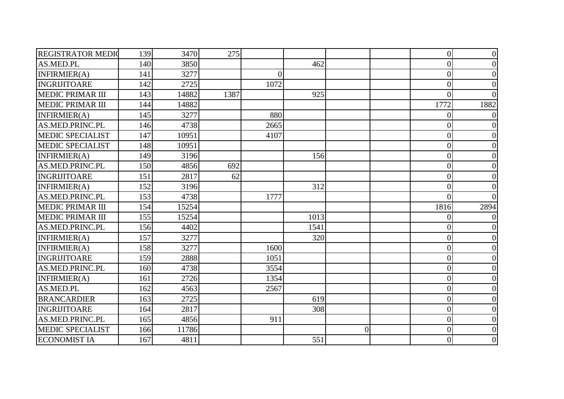| <b>REGISTRATOR MEDIO</b> | 139 | 3470  | 275  |          |      |                | $\overline{0}$ | $\theta$ |
|--------------------------|-----|-------|------|----------|------|----------------|----------------|----------|
| AS.MED.PL                | 140 | 3850  |      |          | 462  |                | $\theta$       |          |
| INFIRMIER(A)             | 141 | 3277  |      | $\theta$ |      |                | $\overline{0}$ |          |
| <b>INGRIJITOARE</b>      | 142 | 2725  |      | 1072     |      |                | $\overline{0}$ |          |
| <b>MEDIC PRIMAR III</b>  | 143 | 14882 | 1387 |          | 925  |                | 0              |          |
| <b>MEDIC PRIMAR III</b>  | 144 | 14882 |      |          |      |                | 1772           | 1882     |
| INFIRMIER(A)             | 145 | 3277  |      | 880      |      |                | $\Omega$       |          |
| AS.MED.PRINC.PL          | 146 | 4738  |      | 2665     |      |                | 0              |          |
| <b>MEDIC SPECIALIST</b>  | 147 | 10951 |      | 4107     |      |                | $\overline{0}$ |          |
| <b>MEDIC SPECIALIST</b>  | 148 | 10951 |      |          |      |                | $\overline{0}$ |          |
| INFIRMIER(A)             | 149 | 3196  |      |          | 156  |                | $\theta$       |          |
| AS.MED.PRINC.PL          | 150 | 4856  | 692  |          |      |                | $\theta$       | 0        |
| <b>INGRIJITOARE</b>      | 151 | 2817  | 62   |          |      |                | $\theta$       |          |
| INFIRMIER(A)             | 152 | 3196  |      |          | 312  |                | $\theta$       |          |
| AS.MED.PRINC.PL          | 153 | 4738  |      | 1777     |      |                | $\Omega$       |          |
| <b>MEDIC PRIMAR III</b>  | 154 | 15254 |      |          |      |                | 1816           | 2894     |
| <b>MEDIC PRIMAR III</b>  | 155 | 15254 |      |          | 1013 |                | 0              |          |
| AS.MED.PRINC.PL          | 156 | 4402  |      |          | 1541 |                | $\theta$       |          |
| INFIRMIER(A)             | 157 | 3277  |      |          | 320  |                | 0              |          |
| INFIRMIER(A)             | 158 | 3277  |      | 1600     |      |                | $\overline{0}$ |          |
| <b>INGRIJITOARE</b>      | 159 | 2888  |      | 1051     |      |                | $\overline{0}$ |          |
| AS.MED.PRINC.PL          | 160 | 4738  |      | 3554     |      |                | 0              |          |
| INFIRMIER(A)             | 161 | 2726  |      | 1354     |      |                | $\overline{0}$ |          |
| AS.MED.PL                | 162 | 4563  |      | 2567     |      |                | $\overline{0}$ |          |
| <b>BRANCARDIER</b>       | 163 | 2725  |      |          | 619  |                | $\theta$       |          |
| INGRIJITOARE             | 164 | 2817  |      |          | 308  |                | $\overline{0}$ |          |
| AS.MED.PRINC.PL          | 165 | 4856  |      | 911      |      |                | $\overline{0}$ |          |
| <b>MEDIC SPECIALIST</b>  | 166 | 11786 |      |          |      | $\overline{0}$ | $\overline{0}$ |          |
| <b>ECONOMIST IA</b>      | 167 | 4811  |      |          | 551  |                | $\overline{0}$ | 0        |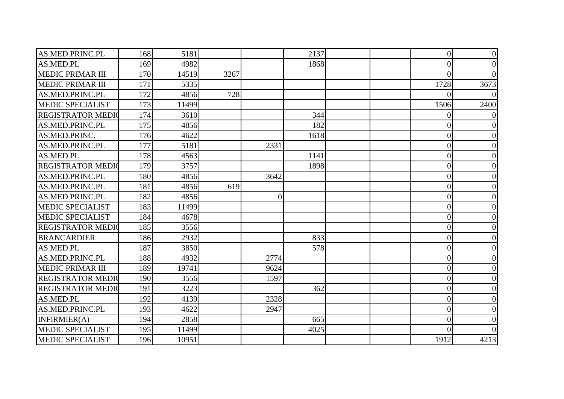| AS.MED.PRINC.PL          | 168 | 5181  |      |                 | 2137 | $\overline{0}$  |      |
|--------------------------|-----|-------|------|-----------------|------|-----------------|------|
| <b>AS.MED.PL</b>         | 169 | 4982  |      |                 | 1868 | $\Omega$        |      |
| <b>MEDIC PRIMAR III</b>  | 170 | 14519 | 3267 |                 |      | $\Omega$        |      |
| <b>MEDIC PRIMAR III</b>  | 171 | 5335  |      |                 |      | 1728            | 3673 |
| AS.MED.PRINC.PL          | 172 | 4856  | 728  |                 |      |                 |      |
| <b>MEDIC SPECIALIST</b>  | 173 | 11499 |      |                 |      | 1506            | 2400 |
| <b>REGISTRATOR MEDIO</b> | 174 | 3610  |      |                 | 344  | $\Omega$        |      |
| AS.MED.PRINC.PL          | 175 | 4856  |      |                 | 182  | $\overline{0}$  |      |
| AS.MED.PRINC.            | 176 | 4622  |      |                 | 1618 | $\overline{0}$  |      |
| AS.MED.PRINC.PL          | 177 | 5181  |      | 2331            |      | $\overline{0}$  |      |
| <b>AS.MED.PL</b>         | 178 | 4563  |      |                 | 1141 | $\vert 0 \vert$ |      |
| <b>REGISTRATOR MEDIO</b> | 179 | 3757  |      |                 | 1898 | $\overline{0}$  |      |
| AS.MED.PRINC.PL          | 180 | 4856  |      | 3642            |      | $\overline{0}$  |      |
| AS.MED.PRINC.PL          | 181 | 4856  | 619  |                 |      | $\overline{0}$  |      |
| AS.MED.PRINC.PL          | 182 | 4856  |      | $\vert 0 \vert$ |      | $\overline{0}$  |      |
| <b>MEDIC SPECIALIST</b>  | 183 | 11499 |      |                 |      | $\Omega$        |      |
| <b>MEDIC SPECIALIST</b>  | 184 | 4678  |      |                 |      | $\overline{0}$  |      |
| <b>REGISTRATOR MEDIO</b> | 185 | 3556  |      |                 |      | $\overline{0}$  |      |
| <b>BRANCARDIER</b>       | 186 | 2932  |      |                 | 833  | $\overline{0}$  |      |
| AS.MED.PL                | 187 | 3850  |      |                 | 578  | $\overline{0}$  |      |
| AS.MED.PRINC.PL          | 188 | 4932  |      | 2774            |      | $\overline{0}$  |      |
| <b>MEDIC PRIMAR III</b>  | 189 | 19741 |      | 9624            |      | $\overline{0}$  |      |
| <b>REGISTRATOR MEDIO</b> | 190 | 3556  |      | 1597            |      | $\overline{0}$  |      |
| <b>REGISTRATOR MEDIO</b> | 191 | 3223  |      |                 | 362  | $\overline{0}$  |      |
| <b>AS.MED.PL</b>         | 192 | 4139  |      | 2328            |      | $\overline{0}$  |      |
| AS.MED.PRINC.PL          | 193 | 4622  |      | 2947            |      | $\vert 0 \vert$ |      |
| INFIRMIER(A)             | 194 | 2858  |      |                 | 665  | $\overline{0}$  |      |
| <b>MEDIC SPECIALIST</b>  | 195 | 11499 |      |                 | 4025 | $\overline{0}$  |      |
| <b>MEDIC SPECIALIST</b>  | 196 | 10951 |      |                 |      | 1912            | 4213 |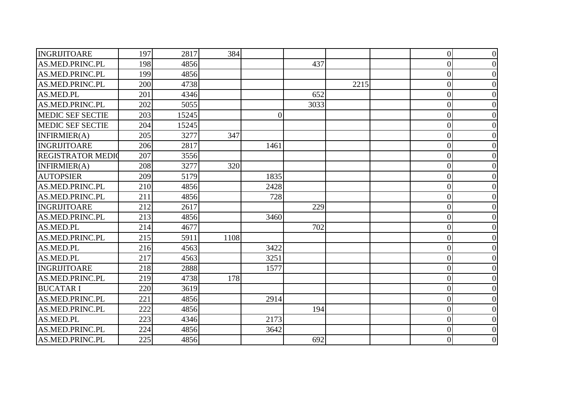| INGRIJITOARE             | 197 | 2817  | 384  |          |      |      | $\overline{0}$ | $\theta$         |
|--------------------------|-----|-------|------|----------|------|------|----------------|------------------|
| AS.MED.PRINC.PL          | 198 | 4856  |      |          | 437  |      | $\theta$       | 0                |
| <b>AS.MED.PRINC.PL</b>   | 199 | 4856  |      |          |      |      | $\overline{0}$ |                  |
| AS.MED.PRINC.PL          | 200 | 4738  |      |          |      | 2215 | $\overline{0}$ |                  |
| AS.MED.PL                | 201 | 4346  |      |          | 652  |      | 0              | 0                |
| AS.MED.PRINC.PL          | 202 | 5055  |      |          | 3033 |      | $\overline{0}$ |                  |
| <b>MEDIC SEF SECTIE</b>  | 203 | 15245 |      | $\Omega$ |      |      | $\theta$       |                  |
| <b>MEDIC SEF SECTIE</b>  | 204 | 15245 |      |          |      |      | $\overline{0}$ |                  |
| INFIRMIER(A)             | 205 | 3277  | 347  |          |      |      | $\overline{0}$ |                  |
| INGRIJITOARE             | 206 | 2817  |      | 1461     |      |      | $\overline{0}$ |                  |
| <b>REGISTRATOR MEDIO</b> | 207 | 3556  |      |          |      |      | $\overline{0}$ |                  |
| INFIRMIER(A)             | 208 | 3277  | 320  |          |      |      | 0              | 0                |
| <b>AUTOPSIER</b>         | 209 | 5179  |      | 1835     |      |      | $\overline{0}$ |                  |
| AS.MED.PRINC.PL          | 210 | 4856  |      | 2428     |      |      | $\overline{0}$ |                  |
| AS.MED.PRINC.PL          | 211 | 4856  |      | 728      |      |      | 0              |                  |
| INGRIJITOARE             | 212 | 2617  |      |          | 229  |      | $\overline{0}$ |                  |
| AS.MED.PRINC.PL          | 213 | 4856  |      | 3460     |      |      | $\overline{0}$ |                  |
| AS.MED.PL                | 214 | 4677  |      |          | 702  |      | $\theta$       |                  |
| AS.MED.PRINC.PL          | 215 | 5911  | 1108 |          |      |      | $\overline{0}$ | 0                |
| AS.MED.PL                | 216 | 4563  |      | 3422     |      |      | $\theta$       |                  |
| AS.MED.PL                | 217 | 4563  |      | 3251     |      |      | $\overline{0}$ |                  |
| <b>INGRIJITOARE</b>      | 218 | 2888  |      | 1577     |      |      | $\overline{0}$ | 0                |
| AS.MED.PRINC.PL          | 219 | 4738  | 178  |          |      |      | $\theta$       |                  |
| <b>BUCATARI</b>          | 220 | 3619  |      |          |      |      | $\overline{0}$ |                  |
| AS.MED.PRINC.PL          | 221 | 4856  |      | 2914     |      |      | $\theta$       |                  |
| AS.MED.PRINC.PL          | 222 | 4856  |      |          | 194  |      | $\overline{0}$ |                  |
| AS.MED.PL                | 223 | 4346  |      | 2173     |      |      | $\overline{0}$ | 0                |
| AS.MED.PRINC.PL          | 224 | 4856  |      | 3642     |      |      | $\overline{0}$ | 0                |
| AS.MED.PRINC.PL          | 225 | 4856  |      |          | 692  |      | $\overline{0}$ | $\boldsymbol{0}$ |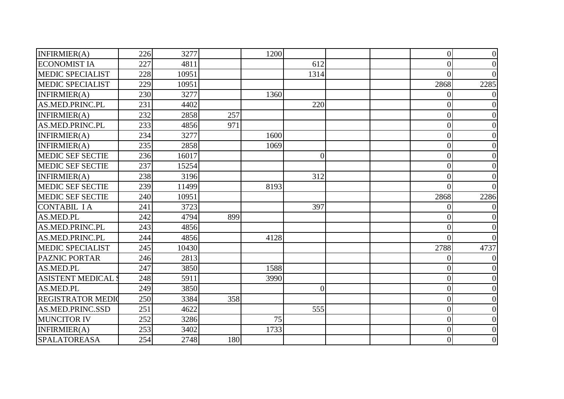| INFIRMIER(A)              | 226 | 3277  |     | <b>1200</b> |                |  | $\overline{0}$ | $\overline{0}$ |
|---------------------------|-----|-------|-----|-------------|----------------|--|----------------|----------------|
| <b>ECONOMIST IA</b>       | 227 | 4811  |     |             | 612            |  | $\theta$       | $\Omega$       |
| <b>MEDIC SPECIALIST</b>   | 228 | 10951 |     |             | 1314           |  | 0              |                |
| <b>MEDIC SPECIALIST</b>   | 229 | 10951 |     |             |                |  | 2868           | 2285           |
| INFIRMIER(A)              | 230 | 3277  |     | 1360        |                |  | 0              |                |
| AS.MED.PRINC.PL           | 231 | 4402  |     |             | 220            |  | 0              |                |
| INFIRMIER(A)              | 232 | 2858  | 257 |             |                |  | $\theta$       |                |
| AS.MED.PRINC.PL           | 233 | 4856  | 971 |             |                |  | $\Omega$       |                |
| INFIRMIER(A)              | 234 | 3277  |     | 1600        |                |  | $\overline{0}$ |                |
| INFIRMIER(A)              | 235 | 2858  |     | 1069        |                |  | $\overline{0}$ |                |
| <b>MEDIC SEF SECTIE</b>   | 236 | 16017 |     |             | $\theta$       |  | $\theta$       |                |
| <b>MEDIC SEF SECTIE</b>   | 237 | 15254 |     |             |                |  | $\theta$       |                |
| INFIRMIER(A)              | 238 | 3196  |     |             | 312            |  | $\overline{0}$ |                |
| <b>MEDIC SEF SECTIE</b>   | 239 | 11499 |     | 8193        |                |  | $\Omega$       |                |
| <b>MEDIC SEF SECTIE</b>   | 240 | 10951 |     |             |                |  | 2868           | 2286           |
| <b>CONTABIL IA</b>        | 241 | 3723  |     |             | 397            |  | $\Omega$       |                |
| AS.MED.PL                 | 242 | 4794  | 899 |             |                |  | 0              |                |
| AS.MED.PRINC.PL           | 243 | 4856  |     |             |                |  | $\theta$       |                |
| AS.MED.PRINC.PL           | 244 | 4856  |     | 4128        |                |  | $\theta$       |                |
| <b>MEDIC SPECIALIST</b>   | 245 | 10430 |     |             |                |  | 2788           | 4737           |
| <b>PAZNIC PORTAR</b>      | 246 | 2813  |     |             |                |  | 0              |                |
| AS.MED.PL                 | 247 | 3850  |     | 1588        |                |  | 0              |                |
| <b>ASISTENT MEDICAL S</b> | 248 | 5911  |     | 3990        |                |  | $\overline{0}$ |                |
| AS.MED.PL                 | 249 | 3850  |     |             | $\overline{0}$ |  | $\overline{0}$ |                |
| <b>REGISTRATOR MEDIO</b>  | 250 | 3384  | 358 |             |                |  | $\theta$       |                |
| AS.MED.PRINC.SSD          | 251 | 4622  |     |             | 555            |  | $\overline{0}$ |                |
| <b>MUNCITOR IV</b>        | 252 | 3286  |     | 75          |                |  | $\overline{0}$ |                |
| INFIRMIER(A)              | 253 | 3402  |     | 1733        |                |  | $\theta$       |                |
| <b>SPALATOREASA</b>       | 254 | 2748  | 180 |             |                |  | $\overline{0}$ | 0              |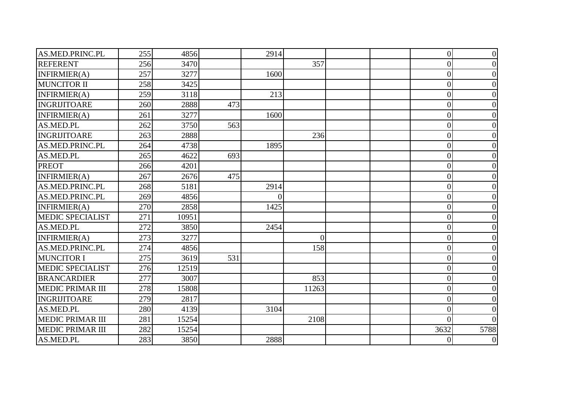| AS.MED.PRINC.PL         | 255 | 4856  |     | 2914     |                |  | $\overline{0}$ | $\overline{0}$ |
|-------------------------|-----|-------|-----|----------|----------------|--|----------------|----------------|
| <b>REFERENT</b>         | 256 | 3470  |     |          | 357            |  | $\overline{0}$ | $\theta$       |
| INFIRMIER(A)            | 257 | 3277  |     | 1600     |                |  | $\overline{0}$ |                |
| <b>MUNCITOR II</b>      | 258 | 3425  |     |          |                |  | $\theta$       |                |
| INFIRMIER(A)            | 259 | 3118  |     | 213      |                |  | $\theta$       | 0              |
| <b>INGRIJITOARE</b>     | 260 | 2888  | 473 |          |                |  | $\overline{0}$ |                |
| INFIRMIER(A)            | 261 | 3277  |     | 1600     |                |  | $\overline{0}$ |                |
| AS.MED.PL               | 262 | 3750  | 563 |          |                |  | $\Omega$       | 0              |
| <b>INGRIJITOARE</b>     | 263 | 2888  |     |          | 236            |  | $\overline{0}$ |                |
| AS.MED.PRINC.PL         | 264 | 4738  |     | 1895     |                |  | $\overline{0}$ |                |
| AS.MED.PL               | 265 | 4622  | 693 |          |                |  | $\theta$       |                |
| <b>PREOT</b>            | 266 | 4201  |     |          |                |  | $\overline{0}$ | 0              |
| INFIRMIER(A)            | 267 | 2676  | 475 |          |                |  | $\overline{0}$ |                |
| AS.MED.PRINC.PL         | 268 | 5181  |     | 2914     |                |  | $\theta$       |                |
| AS.MED.PRINC.PL         | 269 | 4856  |     | $\Omega$ |                |  | $\overline{0}$ | 0              |
| INFIRMIER(A)            | 270 | 2858  |     | 1425     |                |  | $\overline{0}$ |                |
| <b>MEDIC SPECIALIST</b> | 271 | 10951 |     |          |                |  | $\theta$       |                |
| AS.MED.PL               | 272 | 3850  |     | 2454     |                |  | $\theta$       |                |
| INFIRMIER(A)            | 273 | 3277  |     |          | $\overline{0}$ |  | $\overline{0}$ | 0              |
| AS.MED.PRINC.PL         | 274 | 4856  |     |          | 158            |  | $\overline{0}$ | 0              |
| <b>MUNCITOR I</b>       | 275 | 3619  | 531 |          |                |  | $\overline{0}$ |                |
| <b>MEDIC SPECIALIST</b> | 276 | 12519 |     |          |                |  | 0              | 0              |
| <b>BRANCARDIER</b>      | 277 | 3007  |     |          | 853            |  | $\overline{0}$ |                |
| <b>MEDIC PRIMAR III</b> | 278 | 15808 |     |          | 11263          |  | $\overline{0}$ |                |
| <b>INGRIJITOARE</b>     | 279 | 2817  |     |          |                |  | $\theta$       |                |
| AS.MED.PL               | 280 | 4139  |     | 3104     |                |  | $\overline{0}$ |                |
| <b>MEDIC PRIMAR III</b> | 281 | 15254 |     |          | 2108           |  | $\Omega$       |                |
| <b>MEDIC PRIMAR III</b> | 282 | 15254 |     |          |                |  | 3632           | 5788           |
| AS.MED.PL               | 283 | 3850  |     | 2888     |                |  | $\overline{0}$ | $\overline{0}$ |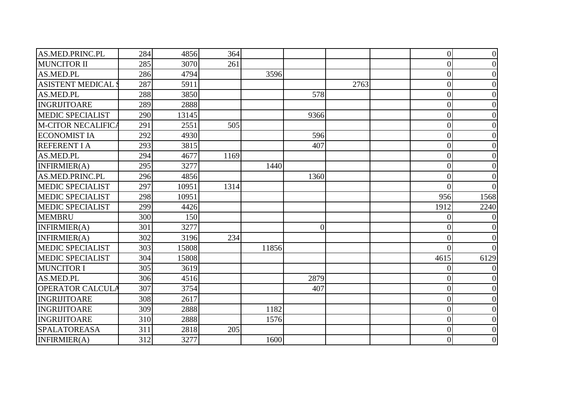| AS.MED.PRINC.PL           | 284 | 4856  | 364  |       |                |      | $\overline{0}$ | $\theta$ |
|---------------------------|-----|-------|------|-------|----------------|------|----------------|----------|
| <b>MUNCITOR II</b>        | 285 | 3070  | 261  |       |                |      | $\theta$       |          |
| <b>AS.MED.PL</b>          | 286 | 4794  |      | 3596  |                |      | $\overline{0}$ |          |
| <b>ASISTENT MEDICAL</b>   | 287 | 5911  |      |       |                | 2763 | $\overline{0}$ | 0        |
| AS.MED.PL                 | 288 | 3850  |      |       | 578            |      | $\theta$       | 0        |
| INGRIJITOARE              | 289 | 2888  |      |       |                |      | $\theta$       |          |
| <b>MEDIC SPECIALIST</b>   | 290 | 13145 |      |       | 9366           |      | $\overline{0}$ |          |
| <b>M-CITOR NECALIFICA</b> | 291 | 2551  | 505  |       |                |      | $\overline{0}$ |          |
| <b>ECONOMIST IA</b>       | 292 | 4930  |      |       | 596            |      | $\overline{0}$ |          |
| <b>REFERENT I A</b>       | 293 | 3815  |      |       | 407            |      | $\overline{0}$ |          |
| AS.MED.PL                 | 294 | 4677  | 1169 |       |                |      | $\overline{0}$ |          |
| INFIRMIER(A)              | 295 | 3277  |      | 1440  |                |      | $\theta$       | 0        |
| AS.MED.PRINC.PL           | 296 | 4856  |      |       | 1360           |      | $\theta$       |          |
| <b>MEDIC SPECIALIST</b>   | 297 | 10951 | 1314 |       |                |      | $\Omega$       |          |
| <b>MEDIC SPECIALIST</b>   | 298 | 10951 |      |       |                |      | 956            | 1568     |
| <b>MEDIC SPECIALIST</b>   | 299 | 4426  |      |       |                |      | 1912           | 2240     |
| <b>MEMBRU</b>             | 300 | 150   |      |       |                |      | 0              |          |
| INFIRMIER(A)              | 301 | 3277  |      |       | $\overline{0}$ |      | 0              |          |
| INFIRMIER(A)              | 302 | 3196  | 234  |       |                |      | $\overline{0}$ |          |
| <b>MEDIC SPECIALIST</b>   | 303 | 15808 |      | 11856 |                |      | 0              |          |
| <b>MEDIC SPECIALIST</b>   | 304 | 15808 |      |       |                |      | 4615           | 6129     |
| <b>MUNCITOR I</b>         | 305 | 3619  |      |       |                |      | 0              |          |
| AS.MED.PL                 | 306 | 4516  |      |       | 2879           |      | $\theta$       |          |
| <b>OPERATOR CALCULA</b>   | 307 | 3754  |      |       | 407            |      | $\theta$       |          |
| <b>INGRIJITOARE</b>       | 308 | 2617  |      |       |                |      | $\overline{0}$ |          |
| <b>INGRIJITOARE</b>       | 309 | 2888  |      | 1182  |                |      | $\overline{0}$ |          |
| <b>INGRIJITOARE</b>       | 310 | 2888  |      | 1576  |                |      | $\overline{0}$ |          |
| <b>SPALATOREASA</b>       | 311 | 2818  | 205  |       |                |      | $\theta$       |          |
| INFIRMIER(A)              | 312 | 3277  |      | 1600  |                |      | $\overline{0}$ | 0        |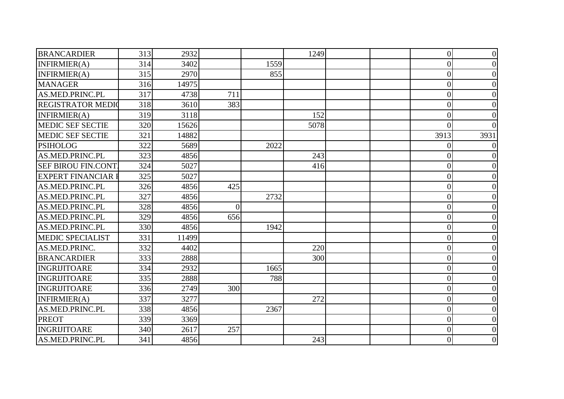| <b>BRANCARDIER</b>        | 313 | 2932  |                |      | 1249 |  | $\overline{0}$ | $\theta$ |
|---------------------------|-----|-------|----------------|------|------|--|----------------|----------|
| INFIRMIER(A)              | 314 | 3402  |                | 1559 |      |  | $\overline{0}$ | 0        |
| INFIRMIER(A)              | 315 | 2970  |                | 855  |      |  | $\overline{0}$ |          |
| <b>MANAGER</b>            | 316 | 14975 |                |      |      |  | $\overline{0}$ | 0        |
| AS.MED.PRINC.PL           | 317 | 4738  | 711            |      |      |  | $\overline{0}$ | 0        |
| <b>REGISTRATOR MEDIO</b>  | 318 | 3610  | 383            |      |      |  | $\overline{0}$ |          |
| INFIRMIER(A)              | 319 | 3118  |                |      | 152  |  | $\theta$       |          |
| <b>MEDIC SEF SECTIE</b>   | 320 | 15626 |                |      | 5078 |  | $\Omega$       |          |
| <b>MEDIC SEF SECTIE</b>   | 321 | 14882 |                |      |      |  | 3913           | 3931     |
| <b>PSIHOLOG</b>           | 322 | 5689  |                | 2022 |      |  | 0              |          |
| AS.MED.PRINC.PL           | 323 | 4856  |                |      | 243  |  | $\overline{0}$ |          |
| <b>SEF BIROU FIN.CONT</b> | 324 | 5027  |                |      | 416  |  | 0              | 0        |
| <b>EXPERT FINANCIAR I</b> | 325 | 5027  |                |      |      |  | $\overline{0}$ |          |
| AS.MED.PRINC.PL           | 326 | 4856  | 425            |      |      |  | $\overline{0}$ |          |
| AS.MED.PRINC.PL           | 327 | 4856  |                | 2732 |      |  | $\Omega$       |          |
| AS.MED.PRINC.PL           | 328 | 4856  | $\overline{0}$ |      |      |  | $\overline{0}$ |          |
| AS.MED.PRINC.PL           | 329 | 4856  | 656            |      |      |  | $\overline{0}$ |          |
| AS.MED.PRINC.PL           | 330 | 4856  |                | 1942 |      |  | $\theta$       |          |
| <b>MEDIC SPECIALIST</b>   | 331 | 11499 |                |      |      |  | $\overline{0}$ | 0        |
| AS.MED.PRINC.             | 332 | 4402  |                |      | 220  |  | $\overline{0}$ |          |
| <b>BRANCARDIER</b>        | 333 | 2888  |                |      | 300  |  | $\overline{0}$ |          |
| <b>INGRIJITOARE</b>       | 334 | 2932  |                | 1665 |      |  | $\overline{0}$ | 0        |
| <b>INGRIJITOARE</b>       | 335 | 2888  |                | 788  |      |  | $\theta$       |          |
| INGRIJITOARE              | 336 | 2749  | 300            |      |      |  | $\overline{0}$ |          |
| INFIRMIER(A)              | 337 | 3277  |                |      | 272  |  | $\theta$       |          |
| AS.MED.PRINC.PL           | 338 | 4856  |                | 2367 |      |  | $\overline{0}$ | 0        |
| <b>PREOT</b>              | 339 | 3369  |                |      |      |  | $\overline{0}$ |          |
| <b>INGRIJITOARE</b>       | 340 | 2617  | 257            |      |      |  | $\overline{0}$ | 0        |
| AS.MED.PRINC.PL           | 341 | 4856  |                |      | 243  |  | $\overline{0}$ | 0        |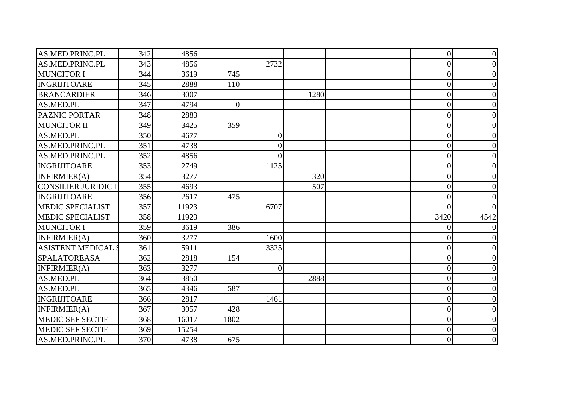| AS.MED.PRINC.PL            | 342 | 4856  |                |                 |      |  | $\overline{0}$   | 0    |
|----------------------------|-----|-------|----------------|-----------------|------|--|------------------|------|
| AS.MED.PRINC.PL            | 343 | 4856  |                | 2732            |      |  | $\overline{0}$   |      |
| <b>MUNCITOR I</b>          | 344 | 3619  | 745            |                 |      |  | $\overline{0}$   |      |
| <b>INGRIJITOARE</b>        | 345 | 2888  | 110            |                 |      |  | $\overline{0}$   |      |
| <b>BRANCARDIER</b>         | 346 | 3007  |                |                 | 1280 |  | $\theta$         |      |
| AS.MED.PL                  | 347 | 4794  | $\overline{0}$ |                 |      |  | $\overline{0}$   |      |
| <b>PAZNIC PORTAR</b>       | 348 | 2883  |                |                 |      |  | $\overline{0}$   |      |
| <b>MUNCITOR II</b>         | 349 | 3425  | 359            |                 |      |  | $\overline{0}$   |      |
| AS.MED.PL                  | 350 | 4677  |                | $\vert 0 \vert$ |      |  | $\overline{0}$   |      |
| AS.MED.PRINC.PL            | 351 | 4738  |                | $\overline{0}$  |      |  | $\overline{0}$   |      |
| AS.MED.PRINC.PL            | 352 | 4856  |                | $\Omega$        |      |  | $\theta$         |      |
| <b>INGRIJITOARE</b>        | 353 | 2749  |                | 1125            |      |  | $\overline{0}$   |      |
| INFIRMIER(A)               | 354 | 3277  |                |                 | 320  |  | $\overline{0}$   |      |
| <b>CONSILIER JURIDIC I</b> | 355 | 4693  |                |                 | 507  |  | $\overline{0}$   |      |
| <b>INGRIJITOARE</b>        | 356 | 2617  | 475            |                 |      |  | 0                |      |
| <b>MEDIC SPECIALIST</b>    | 357 | 11923 |                | 6707            |      |  | $\Omega$         |      |
| <b>MEDIC SPECIALIST</b>    | 358 | 11923 |                |                 |      |  | 3420             | 4542 |
| <b>MUNCITOR I</b>          | 359 | 3619  | 386            |                 |      |  |                  |      |
| INFIRMIER(A)               | 360 | 3277  |                | 1600            |      |  | $\overline{0}$   |      |
| <b>ASISTENT MEDICAL S</b>  | 361 | 5911  |                | 3325            |      |  | $\overline{0}$   |      |
| <b>SPALATOREASA</b>        | 362 | 2818  | 154            |                 |      |  | $\overline{0}$   |      |
| INFIRMIER(A)               | 363 | 3277  |                | $\Omega$        |      |  | 0                |      |
| AS.MED.PL                  | 364 | 3850  |                |                 | 2888 |  | $\boldsymbol{0}$ |      |
| AS.MED.PL                  | 365 | 4346  | 587            |                 |      |  | $\overline{0}$   |      |
| <b>INGRIJITOARE</b>        | 366 | 2817  |                | 1461            |      |  | $\overline{0}$   |      |
| INFIRMIER(A)               | 367 | 3057  | 428            |                 |      |  | $\overline{0}$   |      |
| <b>MEDIC SEF SECTIE</b>    | 368 | 16017 | 1802           |                 |      |  | $\overline{0}$   |      |
| <b>MEDIC SEF SECTIE</b>    | 369 | 15254 |                |                 |      |  | $\overline{0}$   |      |
| AS.MED.PRINC.PL            | 370 | 4738  | 675            |                 |      |  | $\overline{0}$   |      |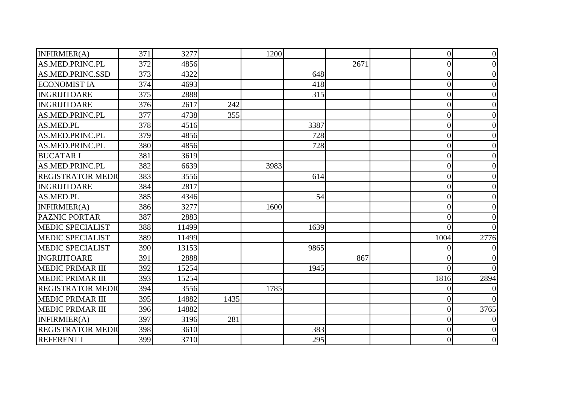| INFIRMIER(A)             | 371 | 3277  |      | 1200 |      |      | $\overline{0}$ | $\theta$         |
|--------------------------|-----|-------|------|------|------|------|----------------|------------------|
| AS.MED.PRINC.PL          | 372 | 4856  |      |      |      | 2671 | $\overline{0}$ | 0                |
| AS.MED.PRINC.SSD         | 373 | 4322  |      |      | 648  |      | $\overline{0}$ |                  |
| <b>ECONOMIST IA</b>      | 374 | 4693  |      |      | 418  |      | $\theta$       |                  |
| INGRIJITOARE             | 375 | 2888  |      |      | 315  |      | $\overline{0}$ | 0                |
| <b>INGRIJITOARE</b>      | 376 | 2617  | 242  |      |      |      | $\theta$       |                  |
| AS.MED.PRINC.PL          | 377 | 4738  | 355  |      |      |      | $\overline{0}$ |                  |
| AS.MED.PL                | 378 | 4516  |      |      | 3387 |      | $\overline{0}$ | 0                |
| AS.MED.PRINC.PL          | 379 | 4856  |      |      | 728  |      | $\overline{0}$ |                  |
| <b>AS.MED.PRINC.PL</b>   | 380 | 4856  |      |      | 728  |      | $\overline{0}$ |                  |
| <b>BUCATAR I</b>         | 381 | 3619  |      |      |      |      | $\overline{0}$ |                  |
| AS.MED.PRINC.PL          | 382 | 6639  |      | 3983 |      |      | $\overline{0}$ | 0                |
| <b>REGISTRATOR MEDIO</b> | 383 | 3556  |      |      | 614  |      | $\overline{0}$ |                  |
| <b>INGRIJITOARE</b>      | 384 | 2817  |      |      |      |      | $\overline{0}$ |                  |
| AS.MED.PL                | 385 | 4346  |      |      | 54   |      | 0              | 0                |
| INFIRMIER(A)             | 386 | 3277  |      | 1600 |      |      | $\overline{0}$ | 0                |
| <b>PAZNIC PORTAR</b>     | 387 | 2883  |      |      |      |      | $\theta$       |                  |
| <b>MEDIC SPECIALIST</b>  | 388 | 11499 |      |      | 1639 |      | 0              |                  |
| <b>MEDIC SPECIALIST</b>  | 389 | 11499 |      |      |      |      | 1004           | 2776             |
| <b>MEDIC SPECIALIST</b>  | 390 | 13153 |      |      | 9865 |      | 0              |                  |
| <b>INGRIJITOARE</b>      | 391 | 2888  |      |      |      | 867  | $\overline{0}$ |                  |
| <b>MEDIC PRIMAR III</b>  | 392 | 15254 |      |      | 1945 |      | 0              |                  |
| <b>MEDIC PRIMAR III</b>  | 393 | 15254 |      |      |      |      | 1816           | 2894             |
| <b>REGISTRATOR MEDIO</b> | 394 | 3556  |      | 1785 |      |      | 0              |                  |
| <b>MEDIC PRIMAR III</b>  | 395 | 14882 | 1435 |      |      |      | $\theta$       |                  |
| <b>MEDIC PRIMAR III</b>  | 396 | 14882 |      |      |      |      | $\overline{0}$ | 3765             |
| INFIRMIER(A)             | 397 | 3196  | 281  |      |      |      | $\overline{0}$ |                  |
| <b>REGISTRATOR MEDIO</b> | 398 | 3610  |      |      | 383  |      | $\overline{0}$ |                  |
| <b>REFERENT I</b>        | 399 | 3710  |      |      | 295  |      | $\overline{0}$ | $\boldsymbol{0}$ |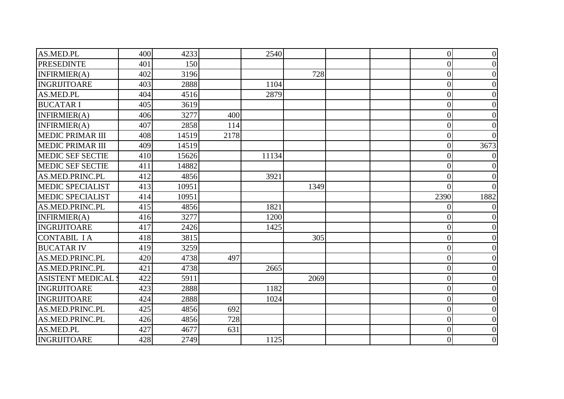| AS.MED.PL                | 400 | 4233  |      | 2540  |      | $\overline{0}$ | $\overline{0}$ |
|--------------------------|-----|-------|------|-------|------|----------------|----------------|
| <b>PRESEDINTE</b>        | 401 | 150   |      |       |      | $\overline{0}$ | 0              |
| INFIRMIER(A)             | 402 | 3196  |      |       | 728  | $\overline{0}$ | 0              |
| <b>INGRIJITOARE</b>      | 403 | 2888  |      | 1104  |      | $\overline{0}$ | 0              |
| AS.MED.PL                | 404 | 4516  |      | 2879  |      | $\overline{0}$ | 0              |
| <b>BUCATAR I</b>         | 405 | 3619  |      |       |      | $\overline{0}$ |                |
| INFIRMIER(A)             | 406 | 3277  | 400  |       |      | $\overline{0}$ | 0              |
| INFIRMIER(A)             | 407 | 2858  | 114  |       |      | $\overline{0}$ | 0              |
| <b>MEDIC PRIMAR III</b>  | 408 | 14519 | 2178 |       |      | $\overline{0}$ |                |
| <b>MEDIC PRIMAR III</b>  | 409 | 14519 |      |       |      | $\theta$       | 3673           |
| <b>MEDIC SEF SECTIE</b>  | 410 | 15626 |      | 11134 |      | $\overline{0}$ |                |
| <b>MEDIC SEF SECTIE</b>  | 411 | 14882 |      |       |      | $\theta$       |                |
| AS.MED.PRINC.PL          | 412 | 4856  |      | 3921  |      | $\overline{0}$ | $\Omega$       |
| <b>MEDIC SPECIALIST</b>  | 413 | 10951 |      |       | 1349 | $\theta$       |                |
| <b>MEDIC SPECIALIST</b>  | 414 | 10951 |      |       |      | 2390           | 1882           |
| AS.MED.PRINC.PL          | 415 | 4856  |      | 1821  |      | 0              |                |
| INFIRMIER(A)             | 416 | 3277  |      | 1200  |      | $\overline{0}$ |                |
| <b>INGRIJITOARE</b>      | 417 | 2426  |      | 1425  |      | $\theta$       |                |
| <b>CONTABIL IA</b>       | 418 | 3815  |      |       | 305  | $\overline{0}$ | 0              |
| <b>BUCATAR IV</b>        | 419 | 3259  |      |       |      | $\overline{0}$ | 0              |
| AS.MED.PRINC.PL          | 420 | 4738  | 497  |       |      | $\overline{0}$ |                |
| AS.MED.PRINC.PL          | 421 | 4738  |      | 2665  |      | $\overline{0}$ | 0              |
| <b>ASISTENT MEDICAL:</b> | 422 | 5911  |      |       | 2069 | $\overline{0}$ |                |
| <b>INGRIJITOARE</b>      | 423 | 2888  |      | 1182  |      | $\overline{0}$ |                |
| <b>INGRIJITOARE</b>      | 424 | 2888  |      | 1024  |      | $\overline{0}$ |                |
| AS.MED.PRINC.PL          | 425 | 4856  | 692  |       |      | $\overline{0}$ | 0              |
| AS.MED.PRINC.PL          | 426 | 4856  | 728  |       |      | $\overline{0}$ | 0              |
| AS.MED.PL                | 427 | 4677  | 631  |       |      | $\theta$       | 0              |
| <b>INGRIJITOARE</b>      | 428 | 2749  |      | 1125  |      | $\overline{0}$ | 0              |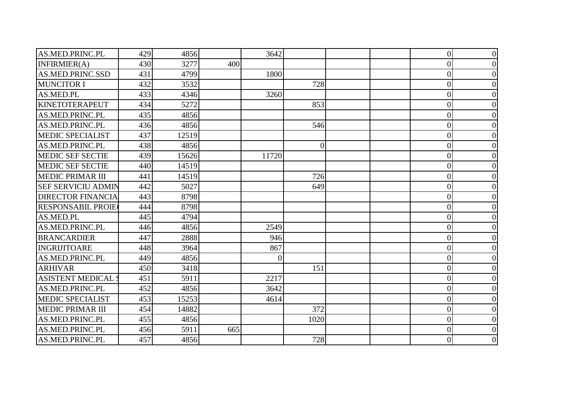| AS.MED.PRINC.PL           | 429 | 4856  |     | 3642           |                |  | $\overline{0}$ | 0 |
|---------------------------|-----|-------|-----|----------------|----------------|--|----------------|---|
| INFIRMIER(A)              | 430 | 3277  | 400 |                |                |  | $\overline{0}$ |   |
| AS.MED.PRINC.SSD          | 431 | 4799  |     | 1800           |                |  | $\overline{0}$ |   |
| <b>MUNCITOR I</b>         | 432 | 3532  |     |                | 728            |  | $\overline{0}$ |   |
| AS.MED.PL                 | 433 | 4346  |     | 3260           |                |  | 0              |   |
| <b>KINETOTERAPEUT</b>     | 434 | 5272  |     |                | 853            |  | $\overline{0}$ |   |
| AS.MED.PRINC.PL           | 435 | 4856  |     |                |                |  | $\overline{0}$ |   |
| AS.MED.PRINC.PL           | 436 | 4856  |     |                | 546            |  | 0              |   |
| <b>MEDIC SPECIALIST</b>   | 437 | 12519 |     |                |                |  | $\overline{0}$ |   |
| AS.MED.PRINC.PL           | 438 | 4856  |     |                | $\overline{0}$ |  | 0              |   |
| <b>MEDIC SEF SECTIE</b>   | 439 | 15626 |     | 11720          |                |  | $\theta$       |   |
| <b>MEDIC SEF SECTIE</b>   | 440 | 14519 |     |                |                |  | $\overline{0}$ |   |
| <b>MEDIC PRIMAR III</b>   | 441 | 14519 |     |                | 726            |  | $\overline{0}$ |   |
| <b>SEF SERVICIU ADMIN</b> | 442 | 5027  |     |                | 649            |  | $\overline{0}$ |   |
| <b>DIRECTOR FINANCIA</b>  | 443 | 8798  |     |                |                |  | 0              |   |
| <b>RESPONSABIL PROIE</b>  | 444 | 8798  |     |                |                |  | $\overline{0}$ |   |
| AS.MED.PL                 | 445 | 4794  |     |                |                |  | $\overline{0}$ |   |
| AS.MED.PRINC.PL           | 446 | 4856  |     | 2549           |                |  | $\theta$       |   |
| <b>BRANCARDIER</b>        | 447 | 2888  |     | 946            |                |  | $\overline{0}$ |   |
| <b>INGRIJITOARE</b>       | 448 | 3964  |     | 867            |                |  | $\overline{0}$ |   |
| AS.MED.PRINC.PL           | 449 | 4856  |     | $\overline{0}$ |                |  | $\overline{0}$ |   |
| <b>ARHIVAR</b>            | 450 | 3418  |     |                | 151            |  | 0              |   |
| <b>ASISTENT MEDICAL:</b>  | 451 | 5911  |     | 2217           |                |  | $\overline{0}$ |   |
| AS.MED.PRINC.PL           | 452 | 4856  |     | 3642           |                |  | $\overline{0}$ |   |
| <b>MEDIC SPECIALIST</b>   | 453 | 15253 |     | 4614           |                |  | $\overline{0}$ |   |
| <b>MEDIC PRIMAR III</b>   | 454 | 14882 |     |                | 372            |  | $\overline{0}$ |   |
| AS.MED.PRINC.PL           | 455 | 4856  |     |                | 1020           |  | $\overline{0}$ |   |
| AS.MED.PRINC.PL           | 456 | 5911  | 665 |                |                |  | $\overline{0}$ |   |
| AS.MED.PRINC.PL           | 457 | 4856  |     |                | 728            |  | $\overline{0}$ |   |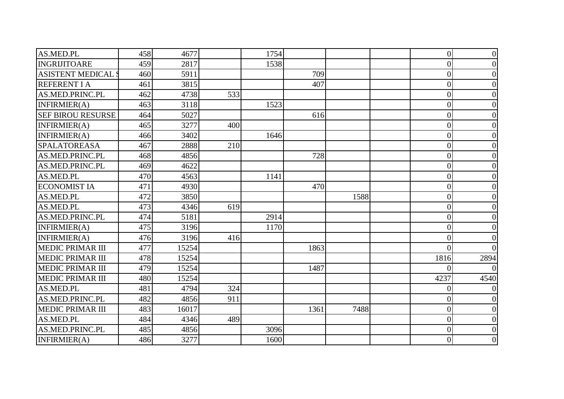| AS.MED.PL                 | 458 | 4677  |     | 1754 |      |      | $\overline{0}$ | $\overline{0}$ |
|---------------------------|-----|-------|-----|------|------|------|----------------|----------------|
| <b>INGRIJITOARE</b>       | 459 | 2817  |     | 1538 |      |      | $\overline{0}$ | $\theta$       |
| <b>ASISTENT MEDICAL S</b> | 460 | 5911  |     |      | 709  |      | $\overline{0}$ |                |
| <b>REFERENT I A</b>       | 461 | 3815  |     |      | 407  |      | $\theta$       | 0              |
| AS.MED.PRINC.PL           | 462 | 4738  | 533 |      |      |      | $\overline{0}$ | 0              |
| INFIRMIER(A)              | 463 | 3118  |     | 1523 |      |      | $\overline{0}$ |                |
| <b>SEF BIROU RESURSE</b>  | 464 | 5027  |     |      | 616  |      | $\overline{0}$ |                |
| INFIRMIER(A)              | 465 | 3277  | 400 |      |      |      | $\overline{0}$ | $\theta$       |
| INFIRMIER(A)              | 466 | 3402  |     | 1646 |      |      | $\overline{0}$ | 0              |
| <b>SPALATOREASA</b>       | 467 | 2888  | 210 |      |      |      | $\overline{0}$ | 0              |
| AS.MED.PRINC.PL           | 468 | 4856  |     |      | 728  |      | $\overline{0}$ |                |
| AS.MED.PRINC.PL           | 469 | 4622  |     |      |      |      | $\overline{0}$ | 0              |
| AS.MED.PL                 | 470 | 4563  |     | 1141 |      |      | $\overline{0}$ | 0              |
| <b>ECONOMIST IA</b>       | 471 | 4930  |     |      | 470  |      | $\overline{0}$ |                |
| AS.MED.PL                 | 472 | 3850  |     |      |      | 1588 | $\overline{0}$ | 0              |
| AS.MED.PL                 | 473 | 4346  | 619 |      |      |      | $\overline{0}$ | 0              |
| <b>AS.MED.PRINC.PL</b>    | 474 | 5181  |     | 2914 |      |      | $\overline{0}$ | 0              |
| INFIRMIER(A)              | 475 | 3196  |     | 1170 |      |      | $\theta$       |                |
| INFIRMIER(A)              | 476 | 3196  | 416 |      |      |      | $\theta$       |                |
| <b>MEDIC PRIMAR III</b>   | 477 | 15254 |     |      | 1863 |      | $\Omega$       |                |
| <b>MEDIC PRIMAR III</b>   | 478 | 15254 |     |      |      |      | 1816           | 2894           |
| <b>MEDIC PRIMAR III</b>   | 479 | 15254 |     |      | 1487 |      |                |                |
| <b>MEDIC PRIMAR III</b>   | 480 | 15254 |     |      |      |      | 4237           | 4540           |
| AS.MED.PL                 | 481 | 4794  | 324 |      |      |      | 0              |                |
| AS.MED.PRINC.PL           | 482 | 4856  | 911 |      |      |      | $\overline{0}$ |                |
| <b>MEDIC PRIMAR III</b>   | 483 | 16017 |     |      | 1361 | 7488 | $\overline{0}$ | $\theta$       |
| AS.MED.PL                 | 484 | 4346  | 489 |      |      |      | $\overline{0}$ | 0              |
| AS.MED.PRINC.PL           | 485 | 4856  |     | 3096 |      |      | $\overline{0}$ | 0              |
| INFIRMIER(A)              | 486 | 3277  |     | 1600 |      |      | $\overline{0}$ | $\overline{0}$ |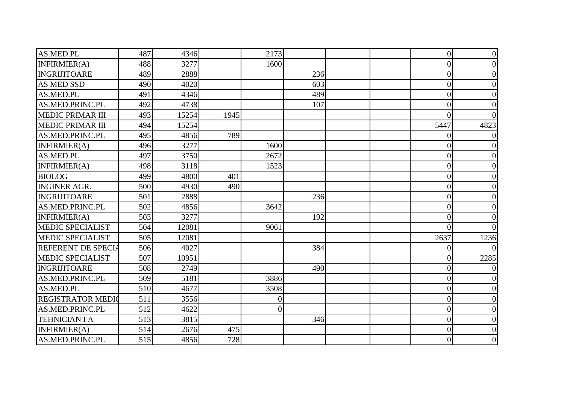| AS.MED.PL                | 487 | 4346  |      | 2173           |     |  | $\overline{0}$ | $\overline{0}$ |
|--------------------------|-----|-------|------|----------------|-----|--|----------------|----------------|
| INFIRMIER(A)             | 488 | 3277  |      | 1600           |     |  | $\overline{0}$ | 0              |
| INGRIJITOARE             | 489 | 2888  |      |                | 236 |  | $\overline{0}$ |                |
| <b>AS MED SSD</b>        | 490 | 4020  |      |                | 603 |  | $\theta$       | 0              |
| AS.MED.PL                | 491 | 4346  |      |                | 489 |  | $\overline{0}$ | 0              |
| AS.MED.PRINC.PL          | 492 | 4738  |      |                | 107 |  | $\overline{0}$ |                |
| <b>MEDIC PRIMAR III</b>  | 493 | 15254 | 1945 |                |     |  | $\Omega$       |                |
| <b>MEDIC PRIMAR III</b>  | 494 | 15254 |      |                |     |  | 5447           | 4823           |
| AS.MED.PRINC.PL          | 495 | 4856  | 789  |                |     |  |                |                |
| INFIRMIER(A)             | 496 | 3277  |      | 1600           |     |  | 0              |                |
| AS.MED.PL                | 497 | 3750  |      | 2672           |     |  | $\overline{0}$ |                |
| INFIRMIER(A)             | 498 | 3118  |      | 1523           |     |  | $\theta$       |                |
| <b>BIOLOG</b>            | 499 | 4800  | 401  |                |     |  | $\overline{0}$ | 0              |
| <b>INGINER AGR.</b>      | 500 | 4930  | 490  |                |     |  | $\overline{0}$ |                |
| INGRIJITOARE             | 501 | 2888  |      |                | 236 |  | 0              | 0              |
| AS.MED.PRINC.PL          | 502 | 4856  |      | 3642           |     |  | $\overline{0}$ | 0              |
| INFIRMIER(A)             | 503 | 3277  |      |                | 192 |  | $\overline{0}$ |                |
| <b>MEDIC SPECIALIST</b>  | 504 | 12081 |      | 9061           |     |  | ſ              |                |
| <b>MEDIC SPECIALIST</b>  | 505 | 12081 |      |                |     |  | 2637           | 1236           |
| REFERENT DE SPECIA       | 506 | 4027  |      |                | 384 |  | 0              |                |
| <b>MEDIC SPECIALIST</b>  | 507 | 10951 |      |                |     |  | $\overline{0}$ | 2285           |
| <b>INGRIJITOARE</b>      | 508 | 2749  |      |                | 490 |  | 0              |                |
| AS.MED.PRINC.PL          | 509 | 5181  |      | 3886           |     |  | $\overline{0}$ |                |
| AS.MED.PL                | 510 | 4677  |      | 3508           |     |  | $\overline{0}$ |                |
| <b>REGISTRATOR MEDIO</b> | 511 | 3556  |      | $\overline{0}$ |     |  | $\theta$       |                |
| AS.MED.PRINC.PL          | 512 | 4622  |      | $\Omega$       |     |  | $\overline{0}$ |                |
| <b>TEHNICIAN I A</b>     | 513 | 3815  |      |                | 346 |  | $\overline{0}$ | 0              |
| INFIRMIER(A)             | 514 | 2676  | 475  |                |     |  | $\theta$       | 0              |
| AS.MED.PRINC.PL          | 515 | 4856  | 728  |                |     |  | $\overline{0}$ | 0              |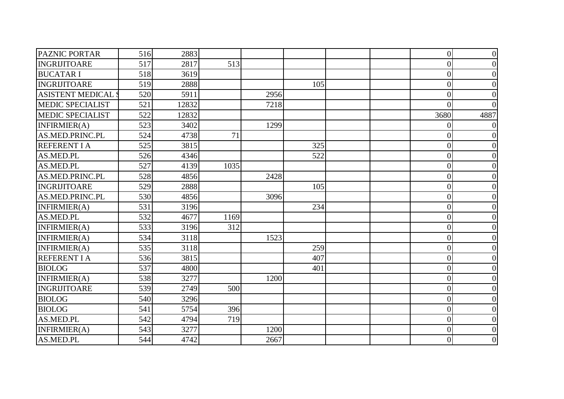| <b>PAZNIC PORTAR</b>     | 516 | 2883  |      |      |     |  | $\overline{0}$   | 0               |
|--------------------------|-----|-------|------|------|-----|--|------------------|-----------------|
| INGRIJITOARE             | 517 | 2817  | 513  |      |     |  | $\overline{0}$   |                 |
| <b>BUCATARI</b>          | 518 | 3619  |      |      |     |  | $\overline{0}$   |                 |
| <b>INGRIJITOARE</b>      | 519 | 2888  |      |      | 105 |  | $\overline{0}$   |                 |
| <b>ASISTENT MEDICAL:</b> | 520 | 5911  |      | 2956 |     |  | $\overline{0}$   |                 |
| <b>MEDIC SPECIALIST</b>  | 521 | 12832 |      | 7218 |     |  | $\bigcap$        |                 |
| <b>MEDIC SPECIALIST</b>  | 522 | 12832 |      |      |     |  | 3680             | 4887            |
| INFIRMIER(A)             | 523 | 3402  |      | 1299 |     |  | 0                |                 |
| AS.MED.PRINC.PL          | 524 | 4738  | 71   |      |     |  | $\overline{0}$   |                 |
| <b>REFERENT I A</b>      | 525 | 3815  |      |      | 325 |  | $\overline{0}$   |                 |
| AS.MED.PL                | 526 | 4346  |      |      | 522 |  | $\overline{0}$   |                 |
| AS.MED.PL                | 527 | 4139  | 1035 |      |     |  | $\overline{0}$   |                 |
| AS.MED.PRINC.PL          | 528 | 4856  |      | 2428 |     |  | $\overline{0}$   |                 |
| INGRIJITOARE             | 529 | 2888  |      |      | 105 |  | $\overline{0}$   |                 |
| AS.MED.PRINC.PL          | 530 | 4856  |      | 3096 |     |  | 0                |                 |
| INFIRMIER(A)             | 531 | 3196  |      |      | 234 |  | $\overline{0}$   |                 |
| AS.MED.PL                | 532 | 4677  | 1169 |      |     |  | $\overline{0}$   |                 |
| INFIRMIER(A)             | 533 | 3196  | 312  |      |     |  | $\theta$         |                 |
| INFIRMIER(A)             | 534 | 3118  |      | 1523 |     |  | $\overline{0}$   |                 |
| INFIRMIER(A)             | 535 | 3118  |      |      | 259 |  | $\overline{0}$   |                 |
| <b>REFERENT I A</b>      | 536 | 3815  |      |      | 407 |  | $\overline{0}$   |                 |
| <b>BIOLOG</b>            | 537 | 4800  |      |      | 401 |  | $\overline{0}$   |                 |
| INFIRMIER(A)             | 538 | 3277  |      | 1200 |     |  | $\overline{0}$   |                 |
| INGRIJITOARE             | 539 | 2749  | 500  |      |     |  | $\boldsymbol{0}$ |                 |
| <b>BIOLOG</b>            | 540 | 3296  |      |      |     |  | $\overline{0}$   |                 |
| <b>BIOLOG</b>            | 541 | 5754  | 396  |      |     |  | $\overline{0}$   |                 |
| AS.MED.PL                | 542 | 4794  | 719  |      |     |  | $\overline{0}$   |                 |
| INFIRMIER(A)             | 543 | 3277  |      | 1200 |     |  | $\overline{0}$   |                 |
| AS.MED.PL                | 544 | 4742  |      | 2667 |     |  | $\overline{0}$   | $\vert 0 \vert$ |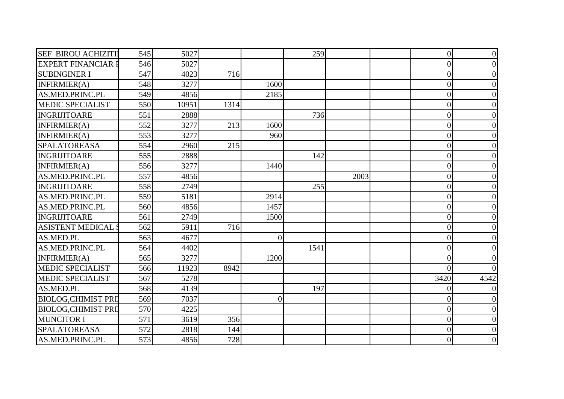| <b>SEF BIROU ACHIZITI</b>  | 545 | 5027  |      |                 | 259  |      | $\overline{0}$ | $\Omega$ |
|----------------------------|-----|-------|------|-----------------|------|------|----------------|----------|
| <b>EXPERT FINANCIAR I</b>  | 546 | 5027  |      |                 |      |      | $\overline{0}$ |          |
| <b>SUBINGINER I</b>        | 547 | 4023  | 716  |                 |      |      | $\overline{0}$ |          |
| INFIRMIER(A)               | 548 | 3277  |      | 1600            |      |      | $\overline{0}$ |          |
| AS.MED.PRINC.PL            | 549 | 4856  |      | 2185            |      |      | 0              |          |
| <b>MEDIC SPECIALIST</b>    | 550 | 10951 | 1314 |                 |      |      | $\overline{0}$ |          |
| <b>INGRIJITOARE</b>        | 551 | 2888  |      |                 | 736  |      | $\overline{0}$ |          |
| INFIRMIER(A)               | 552 | 3277  | 213  | 1600            |      |      | $\overline{0}$ |          |
| INFIRMIER(A)               | 553 | 3277  |      | 960             |      |      | $\overline{0}$ |          |
| <b>SPALATOREASA</b>        | 554 | 2960  | 215  |                 |      |      | $\overline{0}$ |          |
| <b>INGRIJITOARE</b>        | 555 | 2888  |      |                 | 142  |      | $\overline{0}$ |          |
| INFIRMIER(A)               | 556 | 3277  |      | 1440            |      |      | 0              |          |
| AS.MED.PRINC.PL            | 557 | 4856  |      |                 |      | 2003 | $\overline{0}$ |          |
| <b>INGRIJITOARE</b>        | 558 | 2749  |      |                 | 255  |      | $\overline{0}$ |          |
| AS.MED.PRINC.PL            | 559 | 5181  |      | 2914            |      |      | 0              |          |
| AS.MED.PRINC.PL            | 560 | 4856  |      | 1457            |      |      | $\overline{0}$ |          |
| INGRIJITOARE               | 561 | 2749  |      | 1500            |      |      | $\overline{0}$ |          |
| <b>ASISTENT MEDICAL:</b>   | 562 | 5911  | 716  |                 |      |      | $\theta$       |          |
| AS.MED.PL                  | 563 | 4677  |      | $\vert 0 \vert$ |      |      | $\overline{0}$ |          |
| AS.MED.PRINC.PL            | 564 | 4402  |      |                 | 1541 |      | $\overline{0}$ |          |
| INFIRMIER(A)               | 565 | 3277  |      | 1200            |      |      | $\overline{0}$ |          |
| <b>MEDIC SPECIALIST</b>    | 566 | 11923 | 8942 |                 |      |      | 0              |          |
| <b>MEDIC SPECIALIST</b>    | 567 | 5278  |      |                 |      |      | 3420           | 4542     |
| AS.MED.PL                  | 568 | 4139  |      |                 | 197  |      | $\bigcap$      |          |
| <b>BIOLOG, CHIMIST PRI</b> | 569 | 7037  |      | $\vert 0 \vert$ |      |      | 0              |          |
| <b>BIOLOG, CHIMIST PRI</b> | 570 | 4225  |      |                 |      |      | $\overline{0}$ |          |
| <b>MUNCITOR I</b>          | 571 | 3619  | 356  |                 |      |      | $\overline{0}$ |          |
| <b>SPALATOREASA</b>        | 572 | 2818  | 144  |                 |      |      | $\theta$       |          |
| AS.MED.PRINC.PL            | 573 | 4856  | 728  |                 |      |      | $\overline{0}$ |          |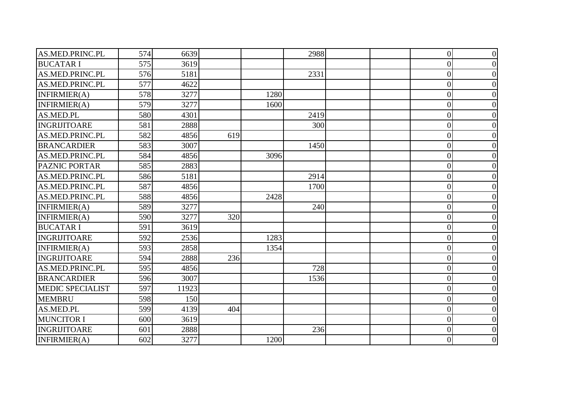| AS.MED.PRINC.PL         | 574 | 6639  |     |      | 2988 | $\overline{0}$   | $\Omega$         |
|-------------------------|-----|-------|-----|------|------|------------------|------------------|
| <b>BUCATAR I</b>        | 575 | 3619  |     |      |      | $\overline{0}$   | $\Omega$         |
| AS.MED.PRINC.PL         | 576 | 5181  |     |      | 2331 | $\overline{0}$   |                  |
| AS.MED.PRINC.PL         | 577 | 4622  |     |      |      | $\overline{0}$   |                  |
| INFIRMIER(A)            | 578 | 3277  |     | 1280 |      | $\overline{0}$   | $\Omega$         |
| INFIRMIER(A)            | 579 | 3277  |     | 1600 |      | $\overline{0}$   |                  |
| AS.MED.PL               | 580 | 4301  |     |      | 2419 | $\overline{0}$   | $\Omega$         |
| <b>INGRIJITOARE</b>     | 581 | 2888  |     |      | 300  | $\overline{0}$   |                  |
| AS.MED.PRINC.PL         | 582 | 4856  | 619 |      |      | $\overline{0}$   | $\Omega$         |
| <b>BRANCARDIER</b>      | 583 | 3007  |     |      | 1450 | $\overline{0}$   |                  |
| AS.MED.PRINC.PL         | 584 | 4856  |     | 3096 |      | $\overline{0}$   |                  |
| <b>PAZNIC PORTAR</b>    | 585 | 2883  |     |      |      | $\overline{0}$   | $\Omega$         |
| AS.MED.PRINC.PL         | 586 | 5181  |     |      | 2914 | $\overline{0}$   | $\Omega$         |
| AS.MED.PRINC.PL         | 587 | 4856  |     |      | 1700 | $\overline{0}$   | $\Omega$         |
| AS.MED.PRINC.PL         | 588 | 4856  |     | 2428 |      | $\overline{0}$   | $\Omega$         |
| INFIRMIER(A)            | 589 | 3277  |     |      | 240  | $\overline{0}$   | $\Omega$         |
| INFIRMIER(A)            | 590 | 3277  | 320 |      |      | $\overline{0}$   | $\Omega$         |
| <b>BUCATAR I</b>        | 591 | 3619  |     |      |      | $\overline{0}$   | $\Omega$         |
| INGRIJITOARE            | 592 | 2536  |     | 1283 |      | $\overline{0}$   | $\Omega$         |
| INFIRMIER(A)            | 593 | 2858  |     | 1354 |      | $\overline{0}$   | $\Omega$         |
| <b>INGRIJITOARE</b>     | 594 | 2888  | 236 |      |      | $\overline{0}$   | $\Omega$         |
| AS.MED.PRINC.PL         | 595 | 4856  |     |      | 728  | $\boldsymbol{0}$ |                  |
| <b>BRANCARDIER</b>      | 596 | 3007  |     |      | 1536 | $\overline{0}$   |                  |
| <b>MEDIC SPECIALIST</b> | 597 | 11923 |     |      |      | $\overline{0}$   | $\Omega$         |
| <b>MEMBRU</b>           | 598 | 150   |     |      |      | $\overline{0}$   | 0                |
| AS.MED.PL               | 599 | 4139  | 404 |      |      | $\overline{0}$   | $\overline{0}$   |
| <b>MUNCITOR I</b>       | 600 | 3619  |     |      |      | $\overline{0}$   | $\Omega$         |
| <b>INGRIJITOARE</b>     | 601 | 2888  |     |      | 236  | $\overline{0}$   | $\Omega$         |
| INFIRMIER(A)            | 602 | 3277  |     | 1200 |      | $\overline{0}$   | $\boldsymbol{0}$ |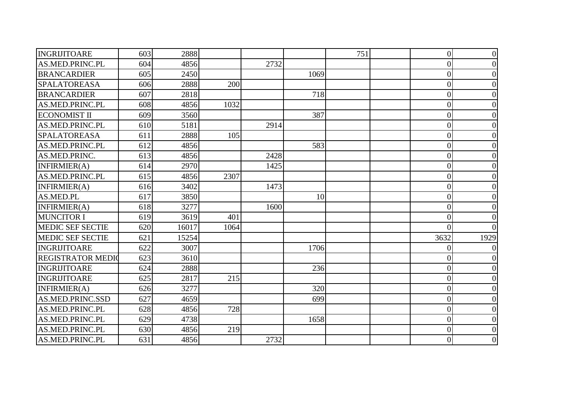| INGRIJITOARE             | 603 | 2888  |      |      |      | 751 | $\overline{0}$ | $\overline{0}$   |
|--------------------------|-----|-------|------|------|------|-----|----------------|------------------|
| AS.MED.PRINC.PL          | 604 | 4856  |      | 2732 |      |     | $\theta$       | $\theta$         |
| <b>BRANCARDIER</b>       | 605 | 2450  |      |      | 1069 |     | $\overline{0}$ |                  |
| <b>SPALATOREASA</b>      | 606 | 2888  | 200  |      |      |     | $\theta$       |                  |
| <b>BRANCARDIER</b>       | 607 | 2818  |      |      | 718  |     | $\overline{0}$ | $\theta$         |
| AS.MED.PRINC.PL          | 608 | 4856  | 1032 |      |      |     | $\overline{0}$ |                  |
| <b>ECONOMIST II</b>      | 609 | 3560  |      |      | 387  |     | $\theta$       |                  |
| AS.MED.PRINC.PL          | 610 | 5181  |      | 2914 |      |     | $\overline{0}$ |                  |
| <b>SPALATOREASA</b>      | 611 | 2888  | 105  |      |      |     | $\overline{0}$ | 0                |
| AS.MED.PRINC.PL          | 612 | 4856  |      |      | 583  |     | $\theta$       |                  |
| AS.MED.PRINC.            | 613 | 4856  |      | 2428 |      |     | $\overline{0}$ |                  |
| <b>INFIRMIER(A)</b>      | 614 | 2970  |      | 1425 |      |     | $\overline{0}$ | 0                |
| AS.MED.PRINC.PL          | 615 | 4856  | 2307 |      |      |     | $\overline{0}$ |                  |
| INFIRMIER(A)             | 616 | 3402  |      | 1473 |      |     | $\overline{0}$ |                  |
| AS.MED.PL                | 617 | 3850  |      |      | 10   |     | $\Omega$       | 0                |
| INFIRMIER(A)             | 618 | 3277  |      | 1600 |      |     | $\overline{0}$ | 0                |
| <b>MUNCITOR I</b>        | 619 | 3619  | 401  |      |      |     | $\theta$       |                  |
| <b>MEDIC SEF SECTIE</b>  | 620 | 16017 | 1064 |      |      |     | 0              |                  |
| <b>MEDIC SEF SECTIE</b>  | 621 | 15254 |      |      |      |     | 3632           | 1929             |
| <b>INGRIJITOARE</b>      | 622 | 3007  |      |      | 1706 |     | 0              |                  |
| <b>REGISTRATOR MEDIO</b> | 623 | 3610  |      |      |      |     | $\overline{0}$ |                  |
| <b>INGRIJITOARE</b>      | 624 | 2888  |      |      | 236  |     | $\overline{0}$ | $\theta$         |
| <b>INGRIJITOARE</b>      | 625 | 2817  | 215  |      |      |     | $\overline{0}$ |                  |
| INFIRMIER(A)             | 626 | 3277  |      |      | 320  |     | $\overline{0}$ |                  |
| AS.MED.PRINC.SSD         | 627 | 4659  |      |      | 699  |     | $\theta$       |                  |
| AS.MED.PRINC.PL          | 628 | 4856  | 728  |      |      |     | $\overline{0}$ | $\overline{0}$   |
| AS.MED.PRINC.PL          | 629 | 4738  |      |      | 1658 |     | $\overline{0}$ | 0                |
| AS.MED.PRINC.PL          | 630 | 4856  | 219  |      |      |     | $\theta$       | $\Omega$         |
| AS.MED.PRINC.PL          | 631 | 4856  |      | 2732 |      |     | $\overline{0}$ | $\boldsymbol{0}$ |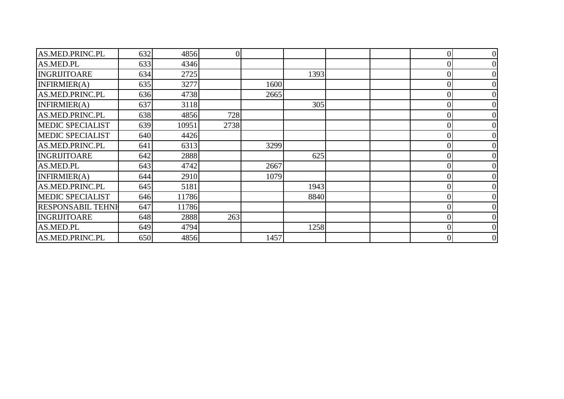| AS.MED.PRINC.PL          | 632 | 4856  | $\overline{0}$ |      |      |  |          |   |
|--------------------------|-----|-------|----------------|------|------|--|----------|---|
| AS.MED.PL                | 633 | 4346  |                |      |      |  |          |   |
| <b>INGRIJITOARE</b>      | 634 | 2725  |                |      | 1393 |  |          |   |
| INFIRMIER(A)             | 635 | 3277  |                | 1600 |      |  |          |   |
| AS.MED.PRINC.PL          | 636 | 4738  |                | 2665 |      |  |          |   |
| INFIRMIER(A)             | 637 | 3118  |                |      | 305  |  |          |   |
| AS.MED.PRINC.PL          | 638 | 4856  | 728            |      |      |  |          |   |
| <b>MEDIC SPECIALIST</b>  | 639 | 10951 | 2738           |      |      |  |          |   |
| <b>MEDIC SPECIALIST</b>  | 640 | 4426  |                |      |      |  |          |   |
| AS.MED.PRINC.PL          | 641 | 6313  |                | 3299 |      |  |          |   |
| <b>INGRIJITOARE</b>      | 642 | 2888  |                |      | 625  |  |          |   |
| AS.MED.PL                | 643 | 4742  |                | 2667 |      |  |          |   |
| INFIRMIER(A)             | 644 | 2910  |                | 1079 |      |  |          |   |
| AS.MED.PRINC.PL          | 645 | 5181  |                |      | 1943 |  |          |   |
| <b>MEDIC SPECIALIST</b>  | 646 | 11786 |                |      | 8840 |  |          |   |
| <b>RESPONSABIL TEHNI</b> | 647 | 11786 |                |      |      |  |          |   |
| <b>INGRIJITOARE</b>      | 648 | 2888  | 263            |      |      |  |          |   |
| AS.MED.PL                | 649 | 4794  |                |      | 1258 |  | $\Omega$ |   |
| AS.MED.PRINC.PL          | 650 | 4856  |                | 1457 |      |  | 0        | 0 |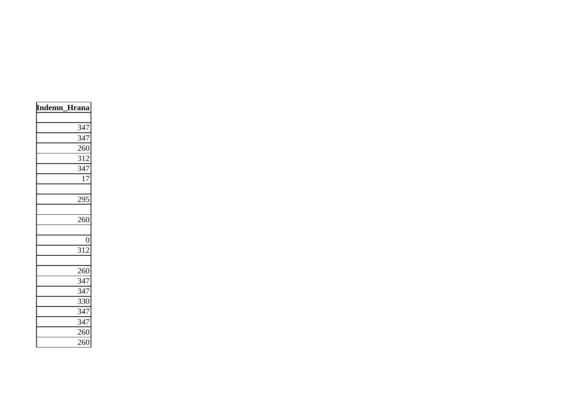| Indemn_Hrana     |  |
|------------------|--|
| 347              |  |
| 347              |  |
| 260              |  |
| 312              |  |
| 347              |  |
| 17               |  |
| 295              |  |
| 260              |  |
| $\overline{0}$   |  |
| $3\overline{12}$ |  |
| 260              |  |
| $34\overline{7}$ |  |
| 347              |  |
| 330              |  |
| 347              |  |
| 347              |  |
| 260              |  |
| 260              |  |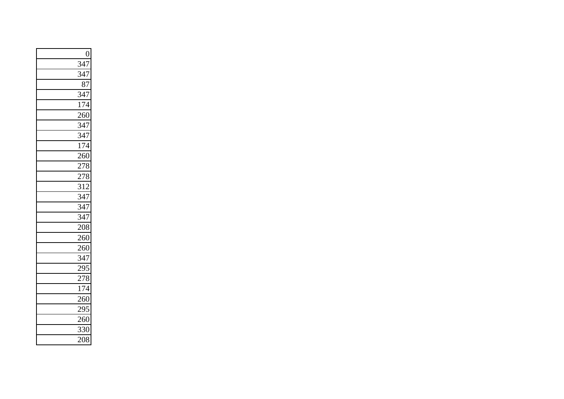| $\boldsymbol{0}$  |
|-------------------|
| $\overline{347}$  |
| 347               |
| 87                |
| $\frac{347}{ }$   |
| 174               |
| $\frac{260}{250}$ |
| $\frac{347}{ }$   |
| 347               |
| 174               |
| 260               |
| 278               |
| 278               |
| $\overline{312}$  |
| 347               |
| $\frac{1}{347}$   |
| $\overline{347}$  |
| 208               |
| 260               |
| $\frac{260}{ }$   |
| 347               |
| 295               |
| $\frac{1}{278}$   |
| $\frac{1}{174}$   |
| $\frac{1}{260}$   |
| 295               |
| 260               |
| 330               |
| $\frac{1}{2}08$   |
|                   |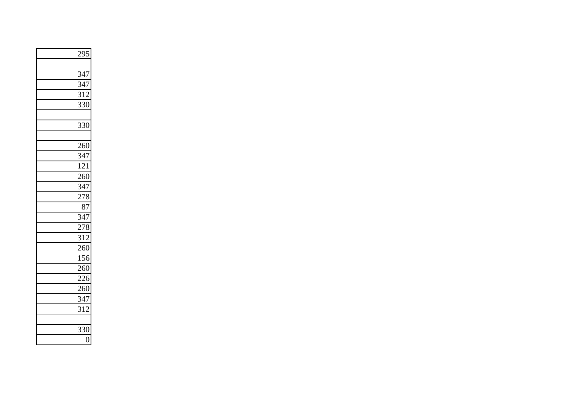| 295               |
|-------------------|
|                   |
| 347               |
| $\frac{1}{347}$   |
| $\overline{312}$  |
| 330               |
|                   |
| 330               |
|                   |
| 260               |
| $\frac{1}{347}$   |
| 121               |
| 260               |
| $\frac{347}{278}$ |
|                   |
| 87                |
|                   |
| $\frac{347}{278}$ |
| $\overline{312}$  |
| 260               |
| 156               |
| 260               |
| 226               |
| $\frac{1}{260}$   |
| 347               |
| 312               |
|                   |
| 330               |
| $\overline{0}$    |
|                   |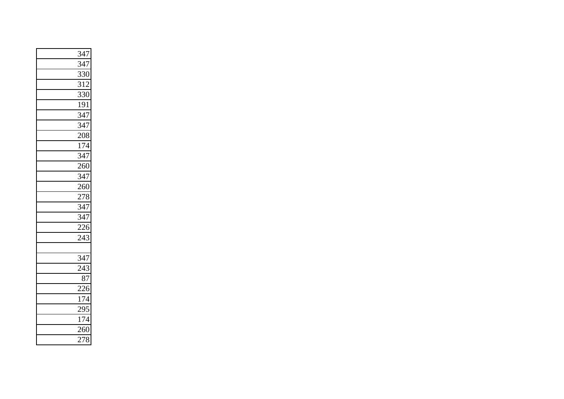| 347              |
|------------------|
| $\overline{347}$ |
| 330              |
| 312              |
| $\overline{330}$ |
| 191              |
| $\overline{347}$ |
| 347              |
| 208              |
| 174              |
| $\overline{347}$ |
| $\frac{1}{260}$  |
| 347              |
| $\frac{1}{260}$  |
| 278              |
| $\overline{347}$ |
| 347              |
| $\frac{226}{2}$  |
| 243              |
|                  |
| 347              |
| 243              |
| 87               |
| $\frac{1}{226}$  |
| 174              |
| 295              |
| 174              |
| $\frac{1}{260}$  |
| 278              |
|                  |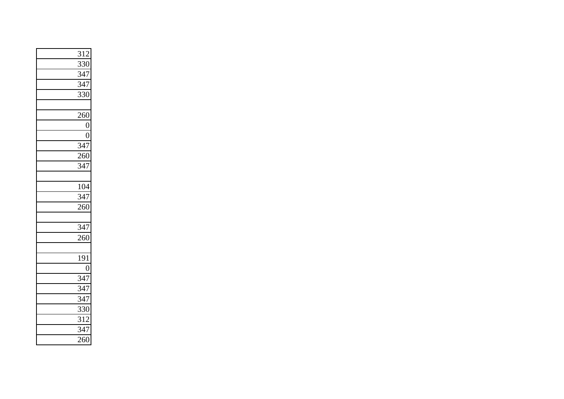| <u>312</u>       |
|------------------|
| $\overline{330}$ |
| 347              |
| $\frac{1}{347}$  |
| $\overline{3}30$ |
|                  |
| 260              |
| $\overline{0}$   |
| $\overline{0}$   |
| 347              |
| 260              |
| 347              |
|                  |
| 104              |
| 347              |
| $\frac{1}{260}$  |
|                  |
| 347              |
| 260              |
|                  |
| 191              |
| $\boldsymbol{0}$ |
| 347              |
| $\frac{1}{347}$  |
| $\overline{347}$ |
| 330              |
| 312              |
| $\overline{347}$ |
| 260              |
|                  |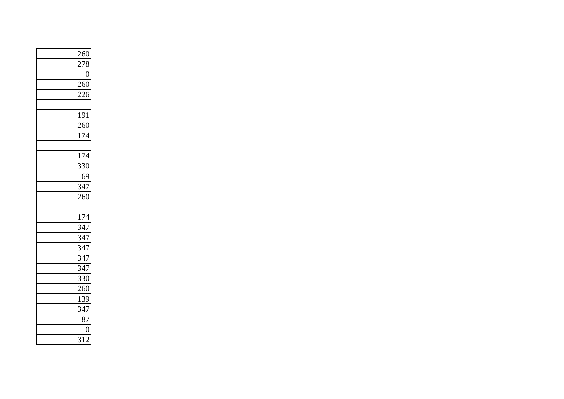| 260               |
|-------------------|
| 278               |
| $\overline{0}$    |
| 260               |
| 226               |
|                   |
| 191               |
| 260               |
| 174               |
|                   |
| $\overline{174}$  |
| 330               |
| 69                |
| $\frac{1}{347}$   |
| 260               |
|                   |
| 174               |
| $\overline{347}$  |
| 347               |
| $\frac{1}{347}$   |
| $\overline{3}$ 47 |
| 347               |
| 330               |
| 260               |
| 139               |
| 347               |
| $\overline{87}$   |
| $\overline{0}$    |
| 312               |
|                   |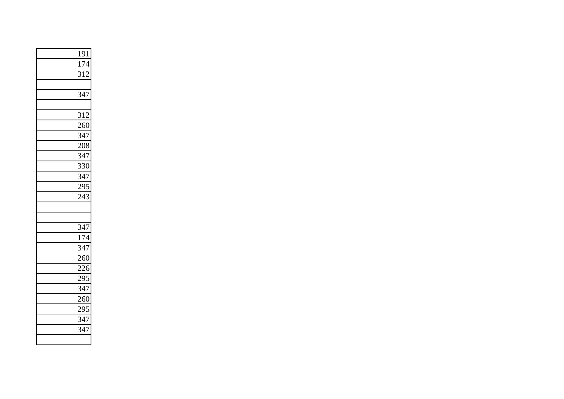| 191              |
|------------------|
| 174              |
| 312              |
|                  |
| $\overline{347}$ |
|                  |
| 312              |
| 260              |
| 347              |
| 208              |
| 347              |
| 330              |
| $\frac{1}{347}$  |
| 295              |
| 243              |
|                  |
|                  |
| 347              |
| 174              |
| $\frac{1}{347}$  |
| 260              |
| $\overline{226}$ |
| 295              |
| $\frac{1}{347}$  |
| 260              |
| $\frac{1}{295}$  |
| 347              |
| 347              |
|                  |
|                  |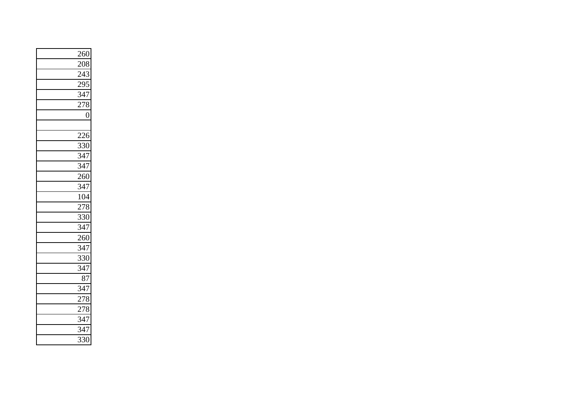| 260               |
|-------------------|
| 208               |
| 243               |
| <u>295</u>        |
| $\overline{347}$  |
| $\overline{278}$  |
| $\overline{0}$    |
|                   |
| 226               |
| $\frac{330}{347}$ |
|                   |
| 347               |
| 260               |
| $\frac{1}{347}$   |
| 104               |
| 278               |
| 330               |
| $\overline{347}$  |
| 260               |
| 347               |
| $\overline{330}$  |
| 347               |
| 87                |
| 347               |
| 278               |
| 278               |
| 347               |
| 347               |
| 330               |
|                   |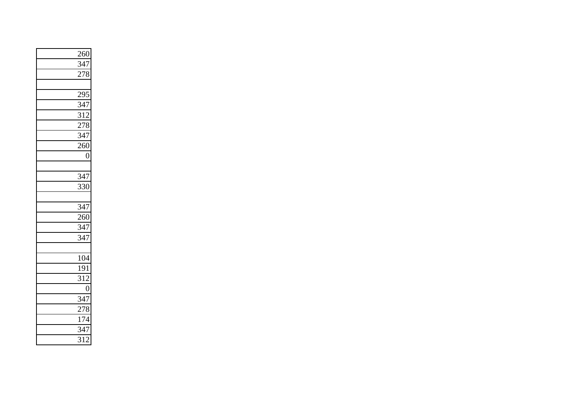| 260               |
|-------------------|
| 347               |
| 278               |
|                   |
| 295               |
| $\frac{347}{312}$ |
|                   |
| 278               |
| $\overline{347}$  |
| 260               |
| $\overline{0}$    |
|                   |
| 347               |
| 330               |
|                   |
| 347               |
| 260               |
| 347               |
| $\overline{347}$  |
|                   |
| 104               |
| 191               |
| 312               |
| $\overline{0}$    |
| 347               |
| 278               |
| 174               |
| $\frac{1}{347}$   |
| 312               |
|                   |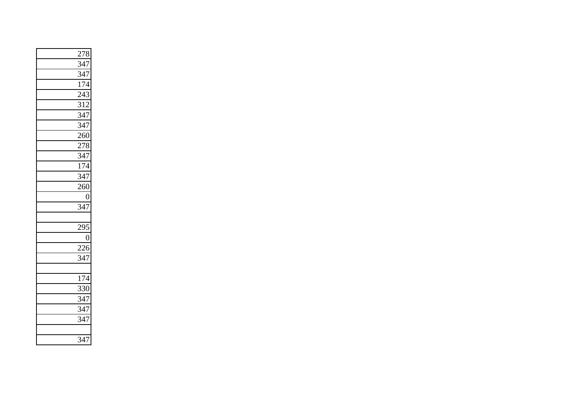| $\frac{278}{347}$ |
|-------------------|
|                   |
| 347               |
| $\frac{174}{17}$  |
| $\overline{243}$  |
| $\overline{312}$  |
| $\frac{347}{347}$ |
|                   |
| 260               |
| 278               |
| $\overline{347}$  |
| 174               |
| 347               |
| 260               |
| $\overline{0}$    |
| 347               |
|                   |
| 295               |
| $\overline{0}$    |
| 226               |
| 347               |
|                   |
| 174               |
| 330               |
| 347               |
| 347               |
| 347               |
|                   |
| 347               |
|                   |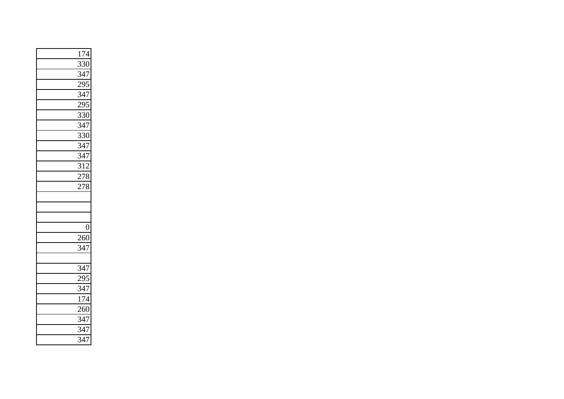| 174                                    |
|----------------------------------------|
| $3\overline{30}$                       |
| 347                                    |
| $\frac{295}{347}$                      |
|                                        |
| $29\overline{5}$                       |
| 330                                    |
| $\frac{330}{347}$                      |
| $\overline{330}$                       |
| 347                                    |
| $rac{2}{347}$                          |
| 312                                    |
| 278                                    |
| $2\overline{78}$                       |
|                                        |
|                                        |
|                                        |
| $\boldsymbol{0}$                       |
| 260                                    |
| $\frac{1}{347}$                        |
|                                        |
| $\frac{347}{295}$<br>$\frac{347}{347}$ |
|                                        |
|                                        |
| 174                                    |
| 260                                    |
| 347                                    |
| $\frac{347}{ }$                        |
|                                        |
| $\overline{347}$                       |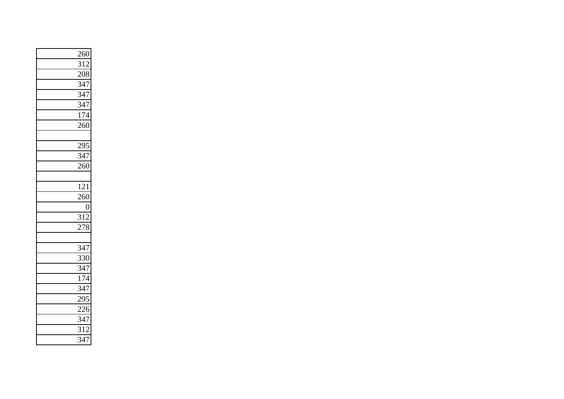| <u>260</u>       |
|------------------|
| $\overline{312}$ |
| 208              |
| $\frac{347}{7}$  |
| 347              |
| 347              |
| 174              |
| $\frac{1}{260}$  |
|                  |
| 295              |
| $\frac{1}{347}$  |
| 260              |
|                  |
| 121              |
| 260              |
| $\overline{0}$   |
| $\overline{312}$ |
| 278              |
|                  |
| $\frac{1}{347}$  |
| $\frac{1}{330}$  |
| $\frac{347}{2}$  |
| 174              |
| $\overline{347}$ |
| 295              |
| 226              |
| 347              |
| $\overline{312}$ |
| $\overline{347}$ |
|                  |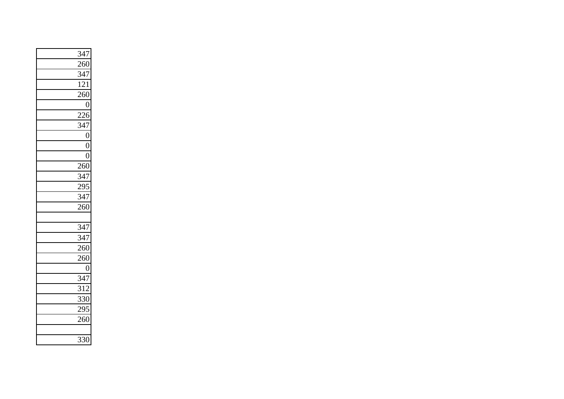| 347              |
|------------------|
| 260              |
| 347              |
| 121              |
| 260              |
| $\overline{0}$   |
| $\overline{226}$ |
| $\frac{1}{347}$  |
| $\overline{0}$   |
| $\overline{0}$   |
| $\overline{0}$   |
| 260              |
| $\frac{347}{ }$  |
| 295              |
| $\overline{347}$ |
| 260              |
|                  |
| $\overline{347}$ |
| 347              |
| 260              |
| 260              |
| $\boldsymbol{0}$ |
| $\frac{1}{347}$  |
| $\overline{312}$ |
| 330              |
| 295              |
| 260              |
|                  |
| 330              |
|                  |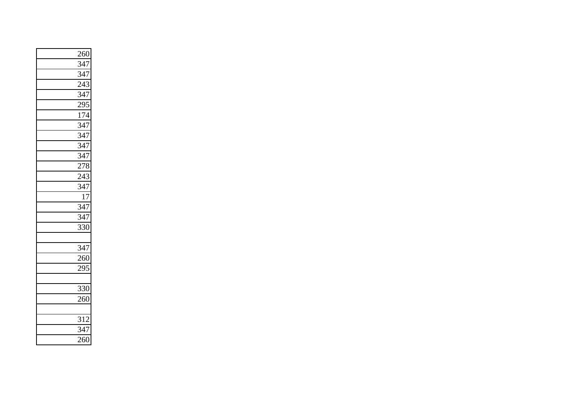| $\frac{260}{347}$ |
|-------------------|
|                   |
| 347               |
| $\frac{1}{243}$   |
| 347               |
| 295               |
| $\frac{1}{174}$   |
| $\frac{1}{347}$   |
| $\frac{1}{347}$   |
| 347               |
| $\frac{1}{347}$   |
| 278               |
| 243               |
| $\overline{347}$  |
| $\overline{17}$   |
| 347               |
| $\frac{1}{347}$   |
| 330               |
|                   |
| $\frac{1}{347}$   |
| $\frac{1}{260}$   |
| 295               |
|                   |
| 330               |
| $\frac{1}{260}$   |
|                   |
| 312               |
| $\overline{347}$  |
| $\frac{260}{250}$ |
|                   |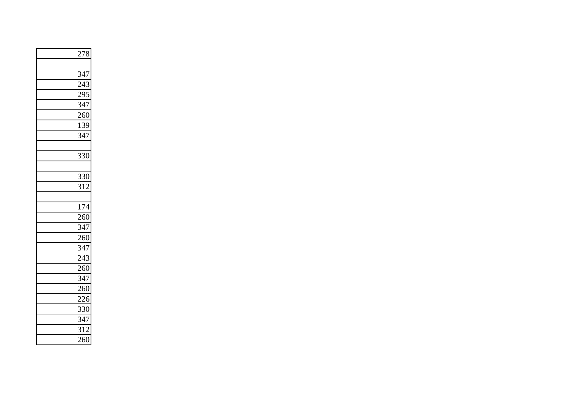| 278              |
|------------------|
|                  |
| 347              |
| $\frac{243}{ }$  |
| $\frac{295}{ }$  |
| $\overline{347}$ |
| $\frac{1}{260}$  |
| 139              |
| $\frac{1}{347}$  |
|                  |
| 330              |
|                  |
| 330              |
| $\overline{312}$ |
|                  |
| $\frac{174}{x}$  |
| 260              |
| $\frac{1}{347}$  |
| 260              |
| $\overline{347}$ |
| 243              |
| $\frac{260}{ }$  |
| 347              |
| 260              |
| $\frac{1}{226}$  |
| 330              |
| 347              |
| 312              |
| $\frac{260}{2}$  |
|                  |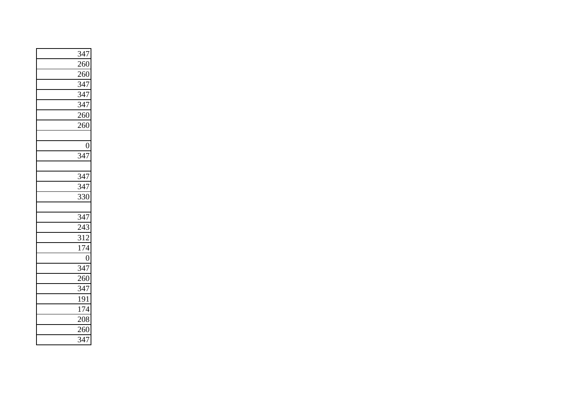| 347               |
|-------------------|
| 260               |
| 260               |
| $\overline{347}$  |
| 347               |
| $rac{1}{347}$     |
| $\frac{1}{260}$   |
| 260               |
|                   |
| $\overline{0}$    |
| $\overline{347}$  |
|                   |
| $\frac{347}{ }$   |
| $\frac{1}{347}$   |
| 330               |
|                   |
| 347               |
| 243               |
| 312               |
| $\overline{174}$  |
| $\overline{0}$    |
| 347               |
| $\frac{260}{250}$ |
| $3\overline{47}$  |
| 191               |
| 174               |
| 208               |
| 260               |
| $\overline{3}47$  |
|                   |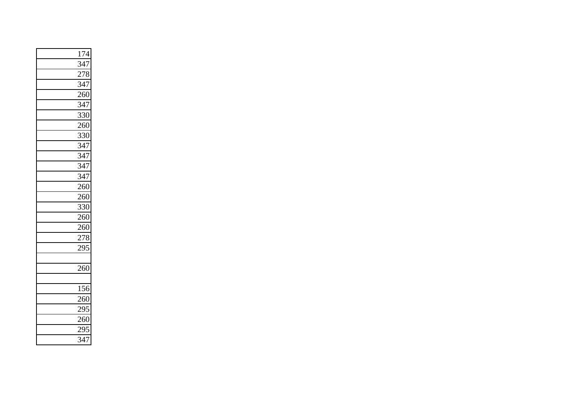| 174               |
|-------------------|
| 347               |
| 278               |
| $\frac{1}{347}$   |
| 260               |
| $\frac{347}{ }$   |
| $\frac{330}{260}$ |
|                   |
| 330               |
| 347               |
| $\frac{1}{347}$   |
| $\overline{347}$  |
| $\frac{347}{7}$   |
| 260               |
| 260               |
| 330               |
| 260               |
| 260               |
| 278               |
| 295               |
|                   |
| 260               |
|                   |
| 156               |
| 260               |
| 295               |
| 260               |
| 295               |
| $\overline{347}$  |
|                   |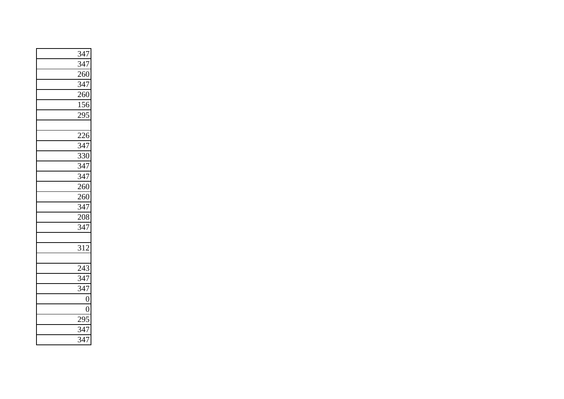| $\frac{347}{347}$ |
|-------------------|
|                   |
| 260               |
| $\overline{347}$  |
| $\frac{1}{260}$   |
| $\overline{156}$  |
| 295               |
|                   |
| 226               |
| $\overline{347}$  |
| $\overline{330}$  |
| 347               |
| $rac{1}{347}$     |
| 260               |
| 260               |
| $\frac{347}{208}$ |
|                   |
| 347               |
|                   |
| 312               |
|                   |
| 243               |
| 347               |
| $\frac{517}{347}$ |
| $\overline{0}$    |
| $\overline{0}$    |
| 295               |
| 347               |
| $\overline{347}$  |
|                   |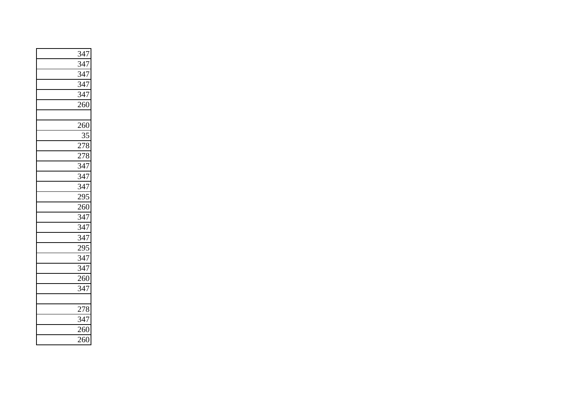| 347              |
|------------------|
| $\overline{347}$ |
| 347              |
| 347              |
| 347              |
| 260              |
|                  |
| 260              |
| 35               |
| 278              |
| 278              |
| 347              |
| 347              |
| 347              |
| $\frac{2}{295}$  |
| $\frac{1}{260}$  |
| 347              |
| 347              |
| 347              |
| $\frac{295}{ }$  |
| 347              |
| 347              |
| 260              |
| 347              |
|                  |
| 278              |
| $\frac{1}{347}$  |
| 260              |
| $\frac{260}{2}$  |
|                  |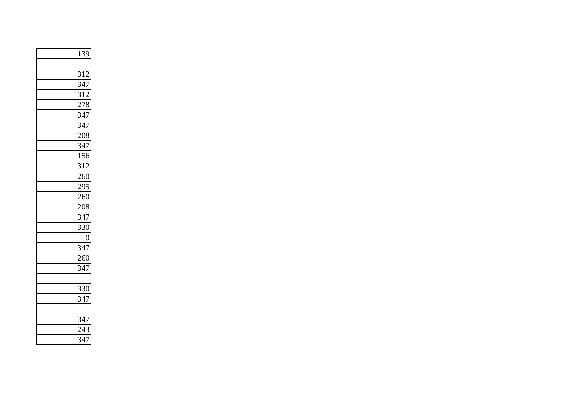| 139               |
|-------------------|
|                   |
| 312               |
| $\frac{1}{347}$   |
| $\overline{312}$  |
| $\frac{1}{278}$   |
| $\frac{347}{347}$ |
|                   |
| 208               |
| $\frac{347}{ }$   |
| $\frac{1}{156}$   |
| $\overline{3}12$  |
| $\frac{260}{250}$ |
| $\frac{295}{260}$ |
|                   |
| 208               |
| 347               |
| 330               |
| $\frac{0}{347}$   |
|                   |
| 260               |
| $\frac{1}{347}$   |
|                   |
| 330               |
| $\overline{347}$  |
|                   |
| 347               |
| $\frac{1}{243}$   |
| $\overline{347}$  |
|                   |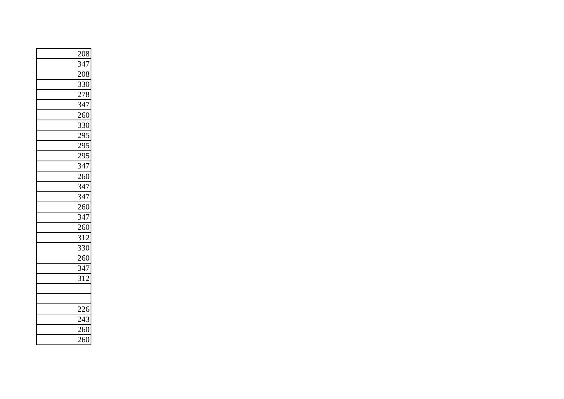| $\frac{208}{347}$ |
|-------------------|
|                   |
| 208               |
| 330               |
| 278               |
| 347               |
| $\frac{1}{260}$   |
| 330               |
| 295               |
| 295               |
| 295               |
| 347               |
| $\frac{1}{260}$   |
| $\frac{1}{347}$   |
| $\frac{347}{260}$ |
|                   |
| $\frac{1}{347}$   |
| $\frac{1}{260}$   |
| 312               |
| $\frac{1}{330}$   |
| 260               |
| $\overline{347}$  |
| 312               |
|                   |
|                   |
| $\frac{226}{1}$   |
| 243               |
| 260               |
| $\frac{1}{260}$   |
|                   |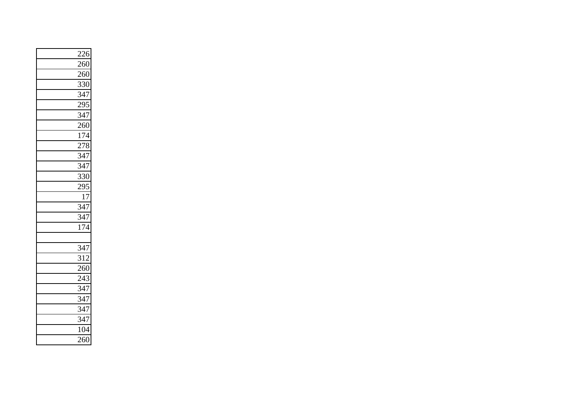| 226               |
|-------------------|
| $\frac{1}{260}$   |
| 260               |
| $\overline{330}$  |
| 347               |
| 295               |
| $\frac{347}{260}$ |
|                   |
| 174               |
| 278               |
| $\frac{1}{347}$   |
| 347               |
| $\overline{330}$  |
| 295               |
| 17                |
| $\frac{1}{347}$   |
| $\overline{347}$  |
| $\frac{1}{174}$   |
|                   |
| 347               |
| $\frac{1}{3}12$   |
| 260               |
| $\frac{243}{5}$   |
| 347               |
| 347               |
| 347               |
| 347               |
| 104               |
| $\frac{1}{260}$   |
|                   |